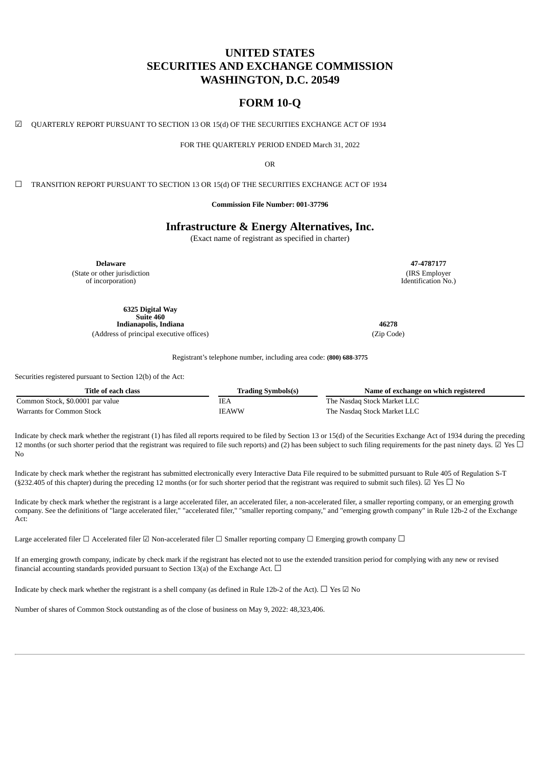# **UNITED STATES SECURITIES AND EXCHANGE COMMISSION WASHINGTON, D.C. 20549**

# **FORM 10-Q**

☑ QUARTERLY REPORT PURSUANT TO SECTION 13 OR 15(d) OF THE SECURITIES EXCHANGE ACT OF 1934

FOR THE QUARTERLY PERIOD ENDED March 31, 2022

OR

☐ TRANSITION REPORT PURSUANT TO SECTION 13 OR 15(d) OF THE SECURITIES EXCHANGE ACT OF 1934

**Commission File Number: 001-37796**

# **Infrastructure & Energy Alternatives, Inc.**

(Exact name of registrant as specified in charter)

**Delaware 47-4787177** (State or other jurisdiction of incorporation)

**6325 Digital Way Suite 460 Indianapolis, Indiana 46278**

(Address of principal executive offices) (Zip Code)

(IRS Employer Identification No.)

Registrant's telephone number, including area code: **(800) 688-3775**

Securities registered pursuant to Section 12(b) of the Act:

| Title of each class              | <b>Trading Symbols(s)</b> | Name of exchange on which registered |
|----------------------------------|---------------------------|--------------------------------------|
| Common Stock, \$0.0001 par value | IEA                       | The Nasdaq Stock Market LLC          |
| Warrants for Common Stock        | IEAWW                     | The Nasdag Stock Market LLC          |

Indicate by check mark whether the registrant (1) has filed all reports required to be filed by Section 13 or 15(d) of the Securities Exchange Act of 1934 during the preceding 12 months (or such shorter period that the registrant was required to file such reports) and (2) has been subject to such filing requirements for the past ninety days.  $\Box$  Yes  $\Box$ No

Indicate by check mark whether the registrant has submitted electronically every Interactive Data File required to be submitted pursuant to Rule 405 of Regulation S-T (§232.405 of this chapter) during the preceding 12 months (or for such shorter period that the registrant was required to submit such files).  $\Box$  Yes  $\Box$  No

Indicate by check mark whether the registrant is a large accelerated filer, an accelerated filer, a non-accelerated filer, a smaller reporting company, or an emerging growth company. See the definitions of "large accelerated filer," "accelerated filer," "smaller reporting company," and "emerging growth company" in Rule 12b-2 of the Exchange Act:

Large accelerated filer □ Accelerated filer ☑ Non-accelerated filer □ Smaller reporting company □ Emerging growth company □

If an emerging growth company, indicate by check mark if the registrant has elected not to use the extended transition period for complying with any new or revised financial accounting standards provided pursuant to Section 13(a) of the Exchange Act.  $\Box$ 

Indicate by check mark whether the registrant is a shell company (as defined in Rule 12b-2 of the Act). ☐ Yes ☑ No

Number of shares of Common Stock outstanding as of the close of business on May 9, 2022: 48,323,406.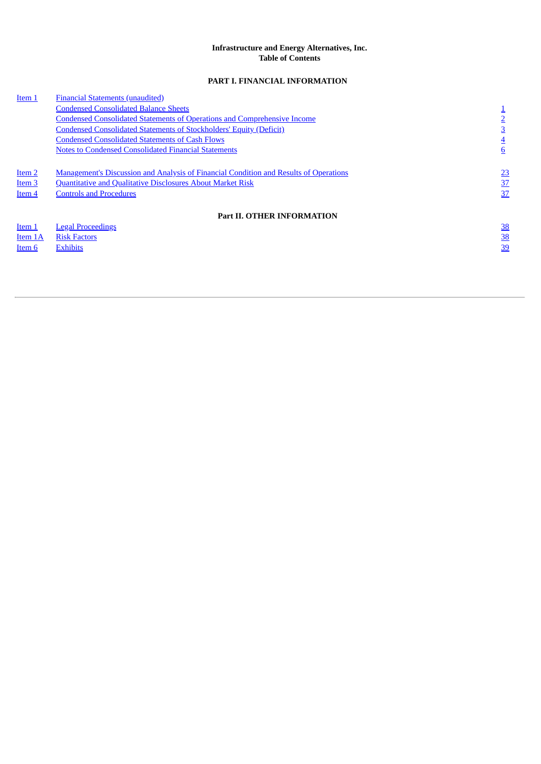# **Infrastructure and Energy Alternatives, Inc. Table of Contents**

# **PART I. FINANCIAL INFORMATION**

| Item 1  | <b>Financial Statements (unaudited)</b>                                                      |                 |
|---------|----------------------------------------------------------------------------------------------|-----------------|
|         | <b>Condensed Consolidated Balance Sheets</b>                                                 |                 |
|         | <b>Condensed Consolidated Statements of Operations and Comprehensive Income</b>              |                 |
|         | <b>Condensed Consolidated Statements of Stockholders' Equity (Deficit)</b>                   | <u>3</u>        |
|         | <b>Condensed Consolidated Statements of Cash Flows</b>                                       | $\overline{4}$  |
|         | <b>Notes to Condensed Consolidated Financial Statements</b>                                  | $6\overline{6}$ |
|         |                                                                                              |                 |
| Item 2  | <u>Management's Discussion and Analysis of Financial Condition and Results of Operations</u> | 23              |
| Item 3  | <b>Quantitative and Qualitative Disclosures About Market Risk</b>                            | 37              |
| Item 4  | <b>Controls and Procedures</b>                                                               | 37              |
|         |                                                                                              |                 |
|         | <b>Part II. OTHER INFORMATION</b>                                                            |                 |
| Item 1  | <b>Legal Proceedings</b>                                                                     | 38              |
| Item 1A | <b>Risk Factors</b>                                                                          | <u>38</u>       |
| Item 6  | <b>Exhibits</b>                                                                              | 39              |
|         |                                                                                              |                 |
|         |                                                                                              |                 |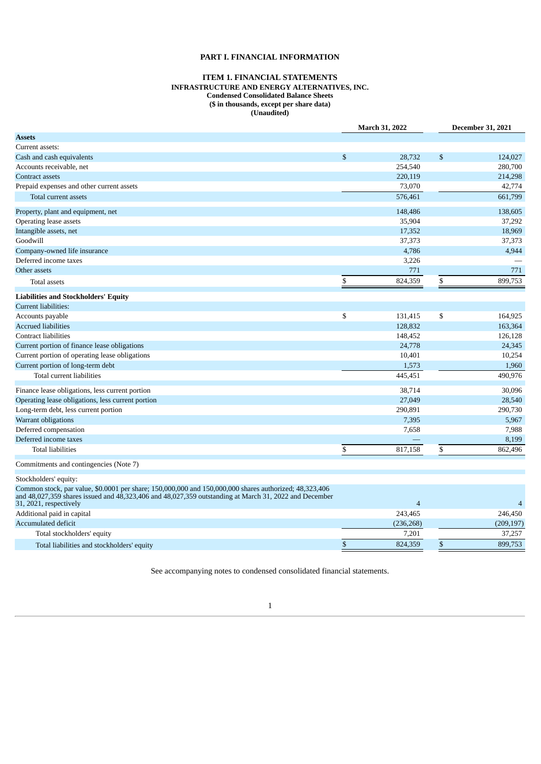# **PART I. FINANCIAL INFORMATION**

#### **ITEM 1. FINANCIAL STATEMENTS INFRASTRUCTURE AND ENERGY ALTERNATIVES, INC. Condensed Consolidated Balance Sheets (\$ in thousands, except per share data) (Unaudited)**

<span id="page-2-1"></span><span id="page-2-0"></span>

|                                                                                                                                                                                                                 | <b>March 31, 2022</b> |                | <b>December 31, 2021</b> |                |
|-----------------------------------------------------------------------------------------------------------------------------------------------------------------------------------------------------------------|-----------------------|----------------|--------------------------|----------------|
| <b>Assets</b>                                                                                                                                                                                                   |                       |                |                          |                |
| Current assets:                                                                                                                                                                                                 |                       |                |                          |                |
| Cash and cash equivalents                                                                                                                                                                                       | \$                    | 28,732         | \$                       | 124,027        |
| Accounts receivable, net                                                                                                                                                                                        |                       | 254,540        |                          | 280,700        |
| <b>Contract assets</b>                                                                                                                                                                                          |                       | 220,119        |                          | 214,298        |
| Prepaid expenses and other current assets                                                                                                                                                                       |                       | 73,070         |                          | 42,774         |
| Total current assets                                                                                                                                                                                            |                       | 576,461        |                          | 661,799        |
| Property, plant and equipment, net                                                                                                                                                                              |                       | 148,486        |                          | 138,605        |
| Operating lease assets                                                                                                                                                                                          |                       | 35,904         |                          | 37,292         |
| Intangible assets, net                                                                                                                                                                                          |                       | 17,352         |                          | 18,969         |
| Goodwill                                                                                                                                                                                                        |                       | 37,373         |                          | 37,373         |
| Company-owned life insurance                                                                                                                                                                                    |                       | 4,786          |                          | 4,944          |
| Deferred income taxes                                                                                                                                                                                           |                       | 3,226          |                          |                |
| Other assets                                                                                                                                                                                                    |                       | 771            |                          | 771            |
| <b>Total assets</b>                                                                                                                                                                                             | \$                    | 824,359        | \$                       | 899,753        |
| <b>Liabilities and Stockholders' Equity</b>                                                                                                                                                                     |                       |                |                          |                |
| Current liabilities:                                                                                                                                                                                            |                       |                |                          |                |
| Accounts payable                                                                                                                                                                                                | \$                    | 131,415        | \$                       | 164,925        |
| <b>Accrued liabilities</b>                                                                                                                                                                                      |                       | 128,832        |                          | 163,364        |
| <b>Contract liabilities</b>                                                                                                                                                                                     |                       | 148,452        |                          | 126,128        |
| Current portion of finance lease obligations                                                                                                                                                                    |                       | 24,778         |                          | 24,345         |
| Current portion of operating lease obligations                                                                                                                                                                  |                       | 10,401         |                          | 10,254         |
| Current portion of long-term debt                                                                                                                                                                               |                       | 1,573          |                          | 1,960          |
| Total current liabilities                                                                                                                                                                                       |                       | 445,451        |                          | 490,976        |
| Finance lease obligations, less current portion                                                                                                                                                                 |                       | 38,714         |                          | 30,096         |
| Operating lease obligations, less current portion                                                                                                                                                               |                       | 27,049         |                          | 28,540         |
| Long-term debt, less current portion                                                                                                                                                                            |                       | 290,891        |                          | 290,730        |
| Warrant obligations                                                                                                                                                                                             |                       | 7,395          |                          | 5,967          |
| Deferred compensation                                                                                                                                                                                           |                       | 7,658          |                          | 7,988          |
| Deferred income taxes                                                                                                                                                                                           |                       |                |                          | 8,199          |
| <b>Total liabilities</b>                                                                                                                                                                                        | \$                    | 817,158        | \$                       | 862,496        |
| Commitments and contingencies (Note 7)                                                                                                                                                                          |                       |                |                          |                |
| Stockholders' equity:                                                                                                                                                                                           |                       |                |                          |                |
| Common stock, par value, \$0.0001 per share; 150,000,000 and 150,000,000 shares authorized; 48,323,406<br>and 48,027,359 shares issued and 48,323,406 and 48,027,359 outstanding at March 31, 2022 and December |                       | $\overline{4}$ |                          |                |
| 31, 2021, respectively                                                                                                                                                                                          |                       |                |                          | $\overline{4}$ |
| Additional paid in capital                                                                                                                                                                                      |                       | 243,465        |                          | 246,450        |
| <b>Accumulated deficit</b>                                                                                                                                                                                      |                       | (236, 268)     |                          | (209, 197)     |
| Total stockholders' equity                                                                                                                                                                                      |                       | 7,201          |                          | 37,257         |
| Total liabilities and stockholders' equity                                                                                                                                                                      | \$                    | 824,359        | \$                       | 899,753        |

<span id="page-2-2"></span>See accompanying notes to condensed consolidated financial statements.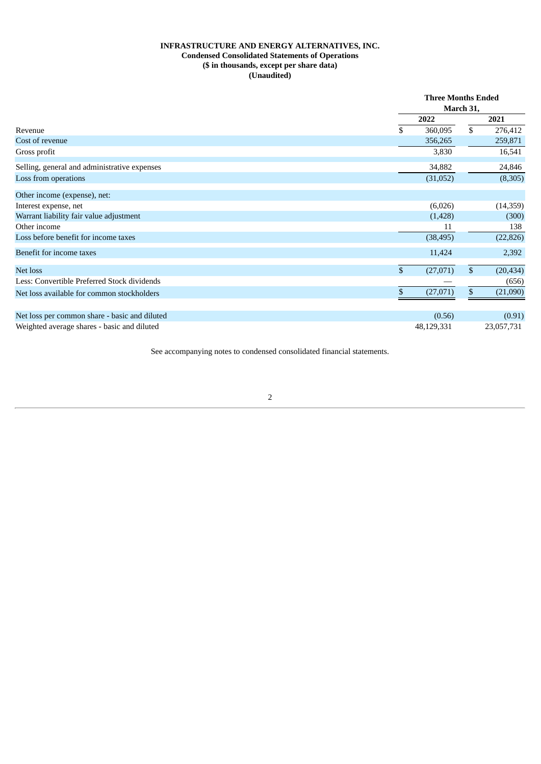# **INFRASTRUCTURE AND ENERGY ALTERNATIVES, INC. Condensed Consolidated Statements of Operations (\$ in thousands, except per share data) (Unaudited)**

|                                               |                 | <b>Three Months Ended</b> |            |  |  |
|-----------------------------------------------|-----------------|---------------------------|------------|--|--|
|                                               |                 | March 31,                 |            |  |  |
|                                               | 2022            |                           | 2021       |  |  |
| Revenue                                       | \$<br>360,095   | \$                        | 276,412    |  |  |
| Cost of revenue                               | 356,265         |                           | 259,871    |  |  |
| Gross profit                                  | 3,830           |                           | 16,541     |  |  |
| Selling, general and administrative expenses  | 34,882          |                           | 24,846     |  |  |
| Loss from operations                          | (31,052)        |                           | (8,305)    |  |  |
| Other income (expense), net:                  |                 |                           |            |  |  |
| Interest expense, net                         | (6,026)         |                           | (14, 359)  |  |  |
| Warrant liability fair value adjustment       | (1,428)         |                           | (300)      |  |  |
| Other income                                  | 11              |                           | 138        |  |  |
| Loss before benefit for income taxes          | (38, 495)       |                           | (22, 826)  |  |  |
| Benefit for income taxes                      | 11,424          |                           | 2,392      |  |  |
| Net loss                                      | \$<br>(27, 071) | $\mathbb{S}$              | (20, 434)  |  |  |
| Less: Convertible Preferred Stock dividends   |                 |                           | (656)      |  |  |
| Net loss available for common stockholders    | (27,071)<br>\$. | \$                        | (21,090)   |  |  |
|                                               |                 |                           |            |  |  |
| Net loss per common share - basic and diluted | (0.56)          |                           | (0.91)     |  |  |
| Weighted average shares - basic and diluted   | 48,129,331      |                           | 23,057,731 |  |  |

<span id="page-3-0"></span>See accompanying notes to condensed consolidated financial statements.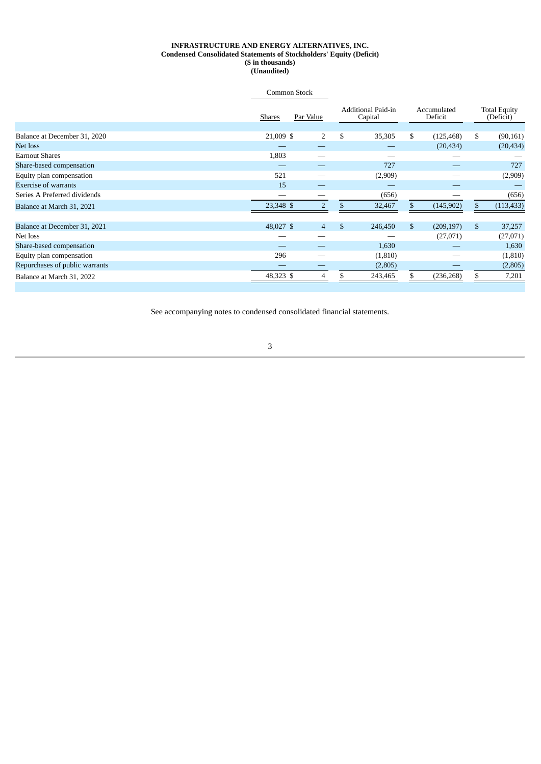#### **INFRASTRUCTURE AND ENERGY ALTERNATIVES, INC. Condensed Consolidated Statements of Stockholders' Equity (Deficit) (\$ in thousands) (Unaudited)**

# Common Stock

|                                | Shares    | Par Value      |     | Additional Paid-in<br>Capital |    |            |    |            |  | Accumulated<br>Deficit |  | <b>Total Equity</b><br>(Deficit) |
|--------------------------------|-----------|----------------|-----|-------------------------------|----|------------|----|------------|--|------------------------|--|----------------------------------|
|                                |           |                |     |                               |    |            |    |            |  |                        |  |                                  |
| Balance at December 31, 2020   | 21,009 \$ | 2              | \$  | 35,305                        | \$ | (125, 468) | \$ | (90, 161)  |  |                        |  |                                  |
| Net loss                       |           |                |     |                               |    | (20, 434)  |    | (20, 434)  |  |                        |  |                                  |
| <b>Earnout Shares</b>          | 1,803     |                |     |                               |    |            |    |            |  |                        |  |                                  |
| Share-based compensation       |           |                |     | 727                           |    |            |    | 727        |  |                        |  |                                  |
| Equity plan compensation       | 521       |                |     | (2,909)                       |    |            |    | (2,909)    |  |                        |  |                                  |
| <b>Exercise of warrants</b>    | 15        |                |     |                               |    |            |    |            |  |                        |  |                                  |
| Series A Preferred dividends   |           |                |     | (656)                         |    |            |    | (656)      |  |                        |  |                                  |
| Balance at March 31, 2021      | 23,348 \$ | $\overline{2}$ |     | 32,467                        | \$ | (145, 902) |    | (113, 433) |  |                        |  |                                  |
|                                |           |                |     |                               |    |            |    |            |  |                        |  |                                  |
| Balance at December 31, 2021   | 48,027 \$ | $\overline{4}$ | \$. | 246,450                       | \$ | (209, 197) | \$ | 37,257     |  |                        |  |                                  |
| Net loss                       |           |                |     |                               |    | (27,071)   |    | (27,071)   |  |                        |  |                                  |
| Share-based compensation       |           |                |     | 1,630                         |    |            |    | 1,630      |  |                        |  |                                  |
| Equity plan compensation       | 296       |                |     | (1,810)                       |    |            |    | (1,810)    |  |                        |  |                                  |
| Repurchases of public warrants |           |                |     | (2,805)                       |    |            |    | (2,805)    |  |                        |  |                                  |
| Balance at March 31, 2022      | 48,323 \$ | 4              |     | 243,465                       |    | (236, 268) |    | 7,201      |  |                        |  |                                  |
|                                |           |                |     |                               |    |            |    |            |  |                        |  |                                  |

<span id="page-4-0"></span>See accompanying notes to condensed consolidated financial statements.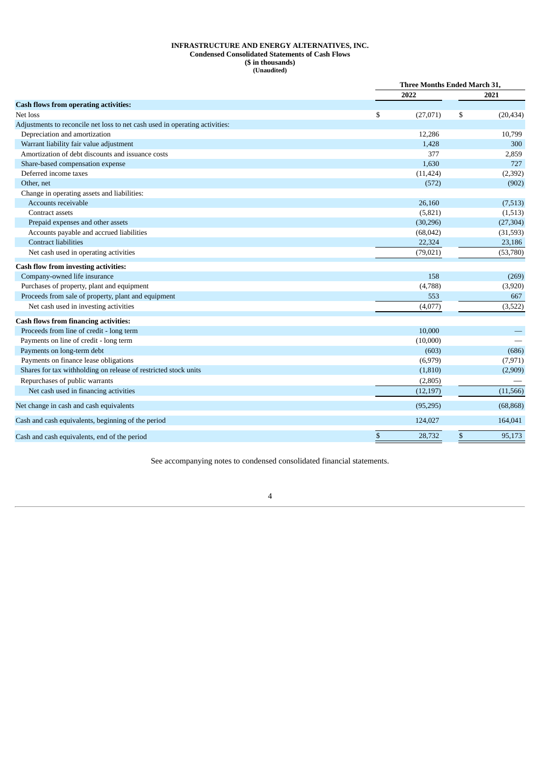# **INFRASTRUCTURE AND ENERGY ALTERNATIVES, INC. Condensed Consolidated Statements of Cash Flows (\$ in thousands) (Unaudited)**

|                                                                             | <b>Three Months Ended March 31,</b> |           |    |           |
|-----------------------------------------------------------------------------|-------------------------------------|-----------|----|-----------|
|                                                                             |                                     | 2022      |    | 2021      |
| <b>Cash flows from operating activities:</b>                                |                                     |           |    |           |
| Net loss                                                                    | \$                                  | (27,071)  | \$ | (20, 434) |
| Adjustments to reconcile net loss to net cash used in operating activities: |                                     |           |    |           |
| Depreciation and amortization                                               |                                     | 12,286    |    | 10,799    |
| Warrant liability fair value adjustment                                     |                                     | 1,428     |    | 300       |
| Amortization of debt discounts and issuance costs                           |                                     | 377       |    | 2,859     |
| Share-based compensation expense                                            |                                     | 1,630     |    | 727       |
| Deferred income taxes                                                       |                                     | (11, 424) |    | (2, 392)  |
| Other, net                                                                  |                                     | (572)     |    | (902)     |
| Change in operating assets and liabilities:                                 |                                     |           |    |           |
| Accounts receivable                                                         |                                     | 26,160    |    | (7,513)   |
| Contract assets                                                             |                                     | (5,821)   |    | (1,513)   |
| Prepaid expenses and other assets                                           |                                     | (30, 296) |    | (27, 304) |
| Accounts payable and accrued liabilities                                    |                                     | (68, 042) |    | (31,593)  |
| <b>Contract liabilities</b>                                                 |                                     | 22,324    |    | 23,186    |
| Net cash used in operating activities                                       |                                     | (79, 021) |    | (53,780)  |
| <b>Cash flow from investing activities:</b>                                 |                                     |           |    |           |
| Company-owned life insurance                                                |                                     | 158       |    | (269)     |
| Purchases of property, plant and equipment                                  |                                     | (4,788)   |    | (3,920)   |
| Proceeds from sale of property, plant and equipment                         |                                     | 553       |    | 667       |
| Net cash used in investing activities                                       |                                     | (4,077)   |    | (3,522)   |
| <b>Cash flows from financing activities:</b>                                |                                     |           |    |           |
| Proceeds from line of credit - long term                                    |                                     | 10,000    |    |           |
| Payments on line of credit - long term                                      |                                     | (10,000)  |    |           |
| Payments on long-term debt                                                  |                                     | (603)     |    | (686)     |
| Payments on finance lease obligations                                       |                                     | (6,979)   |    | (7, 971)  |
| Shares for tax withholding on release of restricted stock units             |                                     | (1,810)   |    | (2,909)   |
| Repurchases of public warrants                                              |                                     | (2,805)   |    |           |
| Net cash used in financing activities                                       |                                     | (12, 197) |    | (11, 566) |
| Net change in cash and cash equivalents                                     |                                     | (95, 295) |    | (68, 868) |
| Cash and cash equivalents, beginning of the period                          |                                     | 124,027   |    | 164,041   |
| Cash and cash equivalents, end of the period                                | \$                                  | 28,732    | \$ | 95,173    |

See accompanying notes to condensed consolidated financial statements.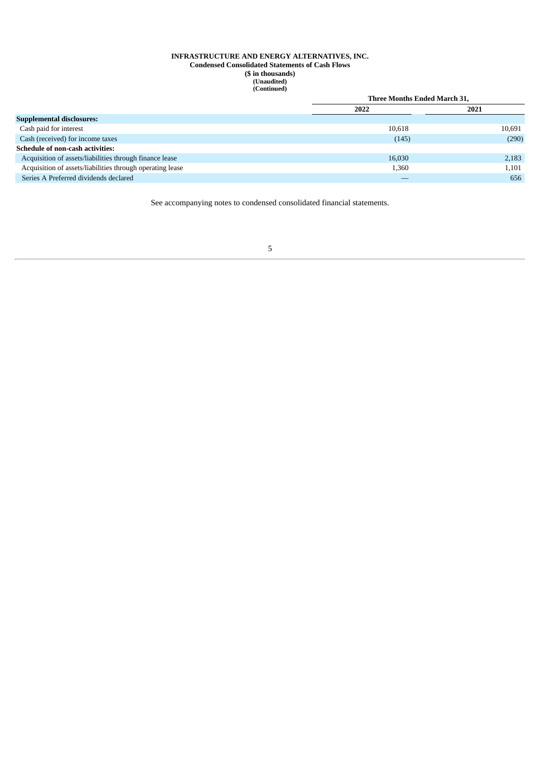# **INFRASTRUCTURE AND ENERGY ALTERNATIVES, INC. Condensed Consolidated Statements of Cash Flows (\$ in thousands) (Unaudited) (Continued)**

|                                                           |        | Three Months Ended March 31, |
|-----------------------------------------------------------|--------|------------------------------|
|                                                           | 2022   | 2021                         |
| <b>Supplemental disclosures:</b>                          |        |                              |
| Cash paid for interest                                    | 10,618 | 10,691                       |
| Cash (received) for income taxes                          | (145)  | (290)                        |
| <b>Schedule of non-cash activities:</b>                   |        |                              |
| Acquisition of assets/liabilities through finance lease   | 16,030 | 2,183                        |
| Acquisition of assets/liabilities through operating lease | 1,360  | 1,101                        |
| Series A Preferred dividends declared                     |        | 656                          |
|                                                           |        |                              |

<span id="page-6-0"></span>See accompanying notes to condensed consolidated financial statements.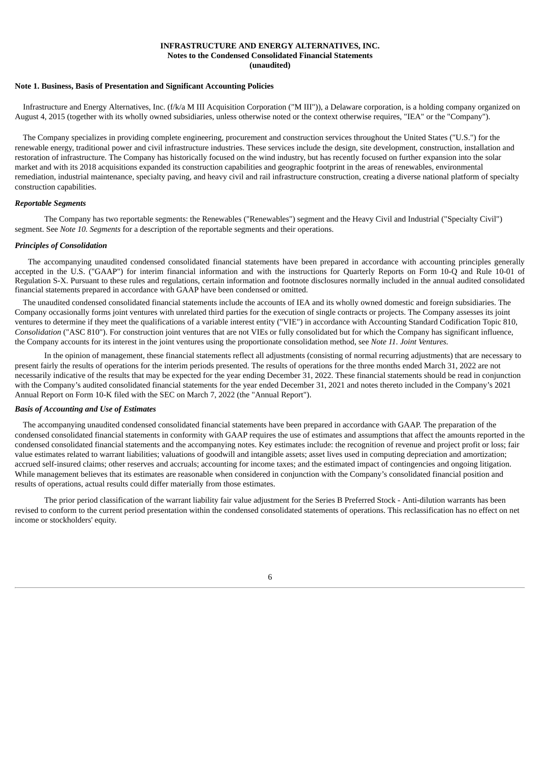## **INFRASTRUCTURE AND ENERGY ALTERNATIVES, INC. Notes to the Condensed Consolidated Financial Statements (unaudited)**

#### **Note 1. Business, Basis of Presentation and Significant Accounting Policies**

Infrastructure and Energy Alternatives, Inc. (f/k/a M III Acquisition Corporation ("M III")), a Delaware corporation, is a holding company organized on August 4, 2015 (together with its wholly owned subsidiaries, unless otherwise noted or the context otherwise requires, "IEA" or the "Company").

The Company specializes in providing complete engineering, procurement and construction services throughout the United States ("U.S.") for the renewable energy, traditional power and civil infrastructure industries. These services include the design, site development, construction, installation and restoration of infrastructure. The Company has historically focused on the wind industry, but has recently focused on further expansion into the solar market and with its 2018 acquisitions expanded its construction capabilities and geographic footprint in the areas of renewables, environmental remediation, industrial maintenance, specialty paving, and heavy civil and rail infrastructure construction, creating a diverse national platform of specialty construction capabilities.

#### *Reportable Segments*

The Company has two reportable segments: the Renewables ("Renewables") segment and the Heavy Civil and Industrial ("Specialty Civil") segment. See *Note 10. Segments* for a description of the reportable segments and their operations.

#### *Principles of Consolidation*

The accompanying unaudited condensed consolidated financial statements have been prepared in accordance with accounting principles generally accepted in the U.S. ("GAAP") for interim financial information and with the instructions for Quarterly Reports on Form 10-Q and Rule 10-01 of Regulation S-X. Pursuant to these rules and regulations, certain information and footnote disclosures normally included in the annual audited consolidated financial statements prepared in accordance with GAAP have been condensed or omitted.

The unaudited condensed consolidated financial statements include the accounts of IEA and its wholly owned domestic and foreign subsidiaries. The Company occasionally forms joint ventures with unrelated third parties for the execution of single contracts or projects. The Company assesses its joint ventures to determine if they meet the qualifications of a variable interest entity ("VIE") in accordance with Accounting Standard Codification Topic 810, *Consolidation* ("ASC 810"). For construction joint ventures that are not VIEs or fully consolidated but for which the Company has significant influence, the Company accounts for its interest in the joint ventures using the proportionate consolidation method, see *Note 11. Joint Ventures.*

In the opinion of management, these financial statements reflect all adjustments (consisting of normal recurring adjustments) that are necessary to present fairly the results of operations for the interim periods presented. The results of operations for the three months ended March 31, 2022 are not necessarily indicative of the results that may be expected for the year ending December 31, 2022. These financial statements should be read in conjunction with the Company's audited consolidated financial statements for the year ended December 31, 2021 and notes thereto included in the Company's 2021 Annual Report on Form 10-K filed with the SEC on March 7, 2022 (the "Annual Report").

#### *Basis of Accounting and Use of Estimates*

The accompanying unaudited condensed consolidated financial statements have been prepared in accordance with GAAP. The preparation of the condensed consolidated financial statements in conformity with GAAP requires the use of estimates and assumptions that affect the amounts reported in the condensed consolidated financial statements and the accompanying notes. Key estimates include: the recognition of revenue and project profit or loss; fair value estimates related to warrant liabilities; valuations of goodwill and intangible assets; asset lives used in computing depreciation and amortization; accrued self-insured claims; other reserves and accruals; accounting for income taxes; and the estimated impact of contingencies and ongoing litigation. While management believes that its estimates are reasonable when considered in conjunction with the Company's consolidated financial position and results of operations, actual results could differ materially from those estimates.

The prior period classification of the warrant liability fair value adjustment for the Series B Preferred Stock - Anti-dilution warrants has been revised to conform to the current period presentation within the condensed consolidated statements of operations. This reclassification has no effect on net income or stockholders' equity.

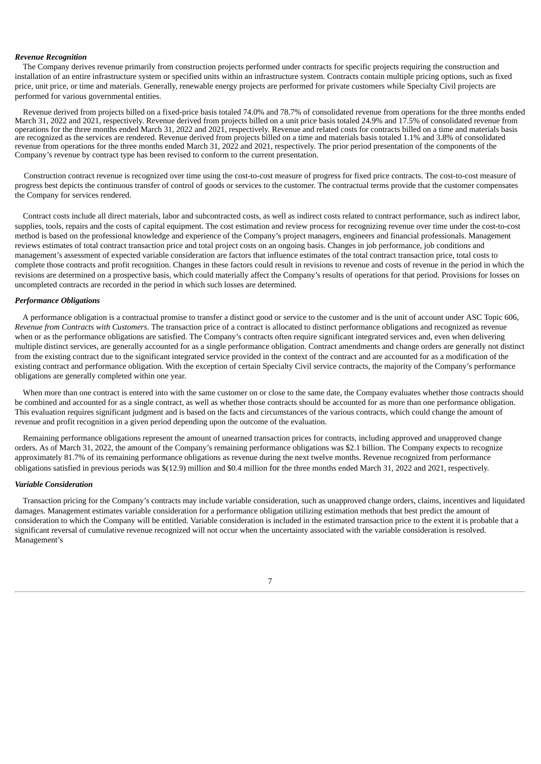#### *Revenue Recognition*

The Company derives revenue primarily from construction projects performed under contracts for specific projects requiring the construction and installation of an entire infrastructure system or specified units within an infrastructure system. Contracts contain multiple pricing options, such as fixed price, unit price, or time and materials. Generally, renewable energy projects are performed for private customers while Specialty Civil projects are performed for various governmental entities.

Revenue derived from projects billed on a fixed-price basis totaled 74.0% and 78.7% of consolidated revenue from operations for the three months ended March 31, 2022 and 2021, respectively. Revenue derived from projects billed on a unit price basis totaled 24.9% and 17.5% of consolidated revenue from operations for the three months ended March 31, 2022 and 2021, respectively. Revenue and related costs for contracts billed on a time and materials basis are recognized as the services are rendered. Revenue derived from projects billed on a time and materials basis totaled 1.1% and 3.8% of consolidated revenue from operations for the three months ended March 31, 2022 and 2021, respectively. The prior period presentation of the components of the Company's revenue by contract type has been revised to conform to the current presentation.

Construction contract revenue is recognized over time using the cost-to-cost measure of progress for fixed price contracts. The cost-to-cost measure of progress best depicts the continuous transfer of control of goods or services to the customer. The contractual terms provide that the customer compensates the Company for services rendered.

Contract costs include all direct materials, labor and subcontracted costs, as well as indirect costs related to contract performance, such as indirect labor, supplies, tools, repairs and the costs of capital equipment. The cost estimation and review process for recognizing revenue over time under the cost-to-cost method is based on the professional knowledge and experience of the Company's project managers, engineers and financial professionals. Management reviews estimates of total contract transaction price and total project costs on an ongoing basis. Changes in job performance, job conditions and management's assessment of expected variable consideration are factors that influence estimates of the total contract transaction price, total costs to complete those contracts and profit recognition. Changes in these factors could result in revisions to revenue and costs of revenue in the period in which the revisions are determined on a prospective basis, which could materially affect the Company's results of operations for that period. Provisions for losses on uncompleted contracts are recorded in the period in which such losses are determined.

#### *Performance Obligations*

A performance obligation is a contractual promise to transfer a distinct good or service to the customer and is the unit of account under ASC Topic 606, *Revenue from Contracts with Customers*. The transaction price of a contract is allocated to distinct performance obligations and recognized as revenue when or as the performance obligations are satisfied. The Company's contracts often require significant integrated services and, even when delivering multiple distinct services, are generally accounted for as a single performance obligation. Contract amendments and change orders are generally not distinct from the existing contract due to the significant integrated service provided in the context of the contract and are accounted for as a modification of the existing contract and performance obligation. With the exception of certain Specialty Civil service contracts, the majority of the Company's performance obligations are generally completed within one year.

When more than one contract is entered into with the same customer on or close to the same date, the Company evaluates whether those contracts should be combined and accounted for as a single contract, as well as whether those contracts should be accounted for as more than one performance obligation. This evaluation requires significant judgment and is based on the facts and circumstances of the various contracts, which could change the amount of revenue and profit recognition in a given period depending upon the outcome of the evaluation.

Remaining performance obligations represent the amount of unearned transaction prices for contracts, including approved and unapproved change orders. As of March 31, 2022, the amount of the Company's remaining performance obligations was \$2.1 billion. The Company expects to recognize approximately 81.7% of its remaining performance obligations as revenue during the next twelve months. Revenue recognized from performance obligations satisfied in previous periods was \$(12.9) million and \$0.4 million for the three months ended March 31, 2022 and 2021, respectively.

#### *Variable Consideration*

Transaction pricing for the Company's contracts may include variable consideration, such as unapproved change orders, claims, incentives and liquidated damages. Management estimates variable consideration for a performance obligation utilizing estimation methods that best predict the amount of consideration to which the Company will be entitled. Variable consideration is included in the estimated transaction price to the extent it is probable that a significant reversal of cumulative revenue recognized will not occur when the uncertainty associated with the variable consideration is resolved. Management's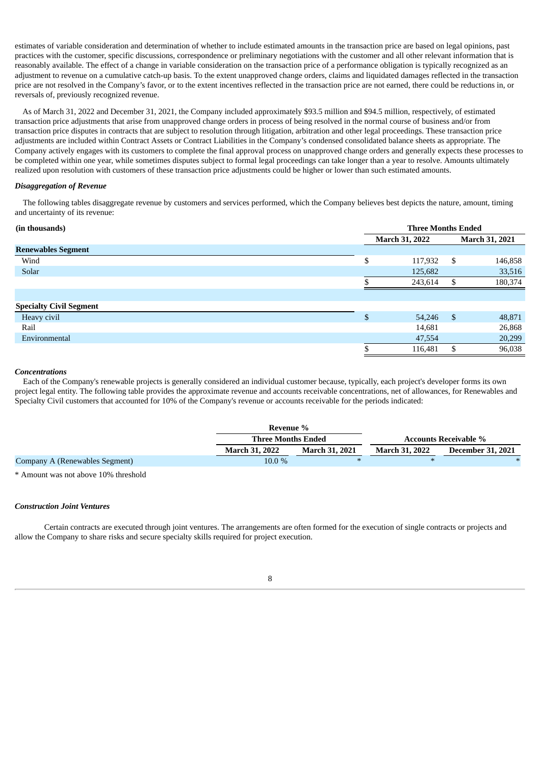estimates of variable consideration and determination of whether to include estimated amounts in the transaction price are based on legal opinions, past practices with the customer, specific discussions, correspondence or preliminary negotiations with the customer and all other relevant information that is reasonably available. The effect of a change in variable consideration on the transaction price of a performance obligation is typically recognized as an adjustment to revenue on a cumulative catch-up basis. To the extent unapproved change orders, claims and liquidated damages reflected in the transaction price are not resolved in the Company's favor, or to the extent incentives reflected in the transaction price are not earned, there could be reductions in, or reversals of, previously recognized revenue.

As of March 31, 2022 and December 31, 2021, the Company included approximately \$93.5 million and \$94.5 million, respectively, of estimated transaction price adjustments that arise from unapproved change orders in process of being resolved in the normal course of business and/or from transaction price disputes in contracts that are subject to resolution through litigation, arbitration and other legal proceedings. These transaction price adjustments are included within Contract Assets or Contract Liabilities in the Company's condensed consolidated balance sheets as appropriate. The Company actively engages with its customers to complete the final approval process on unapproved change orders and generally expects these processes to be completed within one year, while sometimes disputes subject to formal legal proceedings can take longer than a year to resolve. Amounts ultimately realized upon resolution with customers of these transaction price adjustments could be higher or lower than such estimated amounts.

### *Disaggregation of Revenue*

The following tables disaggregate revenue by customers and services performed, which the Company believes best depicts the nature, amount, timing and uncertainty of its revenue:

| (in thousands)                 | <b>Three Months Ended</b> |                                                |    |         |
|--------------------------------|---------------------------|------------------------------------------------|----|---------|
|                                |                           | <b>March 31, 2022</b><br><b>March 31, 2021</b> |    |         |
| <b>Renewables Segment</b>      |                           |                                                |    |         |
| Wind                           | \$                        | 117,932                                        | \$ | 146,858 |
| Solar                          |                           | 125,682                                        |    | 33,516  |
|                                |                           | 243,614                                        | S  | 180,374 |
|                                |                           |                                                |    |         |
| <b>Specialty Civil Segment</b> |                           |                                                |    |         |
| Heavy civil                    | \$                        | 54,246                                         | \$ | 48,871  |
| Rail                           |                           | 14,681                                         |    | 26,868  |
| Environmental                  |                           | 47,554                                         |    | 20,299  |
|                                |                           | 116,481                                        | \$ | 96,038  |

## *Concentrations*

Each of the Company's renewable projects is generally considered an individual customer because, typically, each project's developer forms its own project legal entity. The following table provides the approximate revenue and accounts receivable concentrations, net of allowances, for Renewables and Specialty Civil customers that accounted for 10% of the Company's revenue or accounts receivable for the periods indicated:

|                                | Revenue %                 |                       |                       |                          |
|--------------------------------|---------------------------|-----------------------|-----------------------|--------------------------|
|                                | <b>Three Months Ended</b> |                       |                       | Accounts Receivable %    |
|                                | March 31, 2022            | <b>March 31, 2021</b> | <b>March 31, 2022</b> | <b>December 31, 2021</b> |
| Company A (Renewables Segment) | 10.0 %                    |                       |                       |                          |

\* Amount was not above 10% threshold

#### *Construction Joint Ventures*

Certain contracts are executed through joint ventures. The arrangements are often formed for the execution of single contracts or projects and allow the Company to share risks and secure specialty skills required for project execution.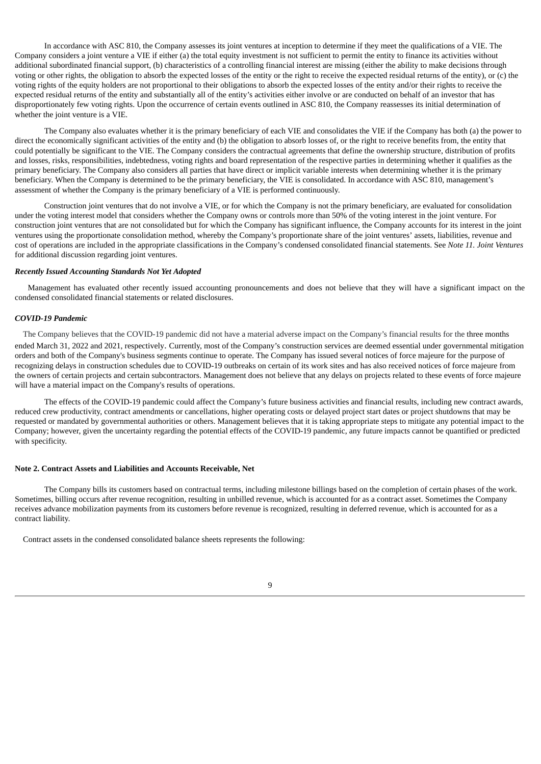In accordance with ASC 810, the Company assesses its joint ventures at inception to determine if they meet the qualifications of a VIE. The Company considers a joint venture a VIE if either (a) the total equity investment is not sufficient to permit the entity to finance its activities without additional subordinated financial support, (b) characteristics of a controlling financial interest are missing (either the ability to make decisions through voting or other rights, the obligation to absorb the expected losses of the entity or the right to receive the expected residual returns of the entity), or (c) the voting rights of the equity holders are not proportional to their obligations to absorb the expected losses of the entity and/or their rights to receive the expected residual returns of the entity and substantially all of the entity's activities either involve or are conducted on behalf of an investor that has disproportionately few voting rights. Upon the occurrence of certain events outlined in ASC 810, the Company reassesses its initial determination of whether the joint venture is a VIE.

The Company also evaluates whether it is the primary beneficiary of each VIE and consolidates the VIE if the Company has both (a) the power to direct the economically significant activities of the entity and (b) the obligation to absorb losses of, or the right to receive benefits from, the entity that could potentially be significant to the VIE. The Company considers the contractual agreements that define the ownership structure, distribution of profits and losses, risks, responsibilities, indebtedness, voting rights and board representation of the respective parties in determining whether it qualifies as the primary beneficiary. The Company also considers all parties that have direct or implicit variable interests when determining whether it is the primary beneficiary. When the Company is determined to be the primary beneficiary, the VIE is consolidated. In accordance with ASC 810, management's assessment of whether the Company is the primary beneficiary of a VIE is performed continuously.

Construction joint ventures that do not involve a VIE, or for which the Company is not the primary beneficiary, are evaluated for consolidation under the voting interest model that considers whether the Company owns or controls more than 50% of the voting interest in the joint venture. For construction joint ventures that are not consolidated but for which the Company has significant influence, the Company accounts for its interest in the joint ventures using the proportionate consolidation method, whereby the Company's proportionate share of the joint ventures' assets, liabilities, revenue and cost of operations are included in the appropriate classifications in the Company's condensed consolidated financial statements. See *Note 11. Joint Ventures* for additional discussion regarding joint ventures.

## *Recently Issued Accounting Standards Not Yet Adopted*

Management has evaluated other recently issued accounting pronouncements and does not believe that they will have a significant impact on the condensed consolidated financial statements or related disclosures.

#### *COVID-19 Pandemic*

The Company believes that the COVID-19 pandemic did not have a material adverse impact on the Company's financial results for the three months ended March 31, 2022 and 2021, respectively. Currently, most of the Company's construction services are deemed essential under governmental mitigation orders and both of the Company's business segments continue to operate. The Company has issued several notices of force majeure for the purpose of recognizing delays in construction schedules due to COVID-19 outbreaks on certain of its work sites and has also received notices of force majeure from the owners of certain projects and certain subcontractors. Management does not believe that any delays on projects related to these events of force majeure will have a material impact on the Company's results of operations.

The effects of the COVID-19 pandemic could affect the Company's future business activities and financial results, including new contract awards, reduced crew productivity, contract amendments or cancellations, higher operating costs or delayed project start dates or project shutdowns that may be requested or mandated by governmental authorities or others. Management believes that it is taking appropriate steps to mitigate any potential impact to the Company; however, given the uncertainty regarding the potential effects of the COVID-19 pandemic, any future impacts cannot be quantified or predicted with specificity.

#### **Note 2. Contract Assets and Liabilities and Accounts Receivable, Net**

The Company bills its customers based on contractual terms, including milestone billings based on the completion of certain phases of the work. Sometimes, billing occurs after revenue recognition, resulting in unbilled revenue, which is accounted for as a contract asset. Sometimes the Company receives advance mobilization payments from its customers before revenue is recognized, resulting in deferred revenue, which is accounted for as a contract liability.

Contract assets in the condensed consolidated balance sheets represents the following: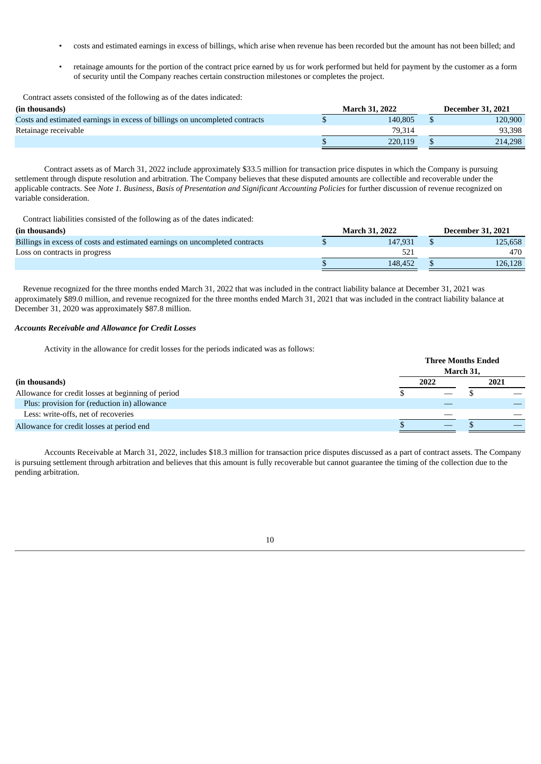- costs and estimated earnings in excess of billings, which arise when revenue has been recorded but the amount has not been billed; and
- retainage amounts for the portion of the contract price earned by us for work performed but held for payment by the customer as a form of security until the Company reaches certain construction milestones or completes the project.

Contract assets consisted of the following as of the dates indicated:

| (in thousands)                                                              | <b>March 31, 2022</b> |         |  | <b>December 31, 2021</b> |
|-----------------------------------------------------------------------------|-----------------------|---------|--|--------------------------|
| Costs and estimated earnings in excess of billings on uncompleted contracts |                       | 140.805 |  | 120.900                  |
| Retainage receivable                                                        |                       | 79.314  |  | 93.398                   |
|                                                                             |                       | 220.119 |  | 214,298                  |

Contract assets as of March 31, 2022 include approximately \$33.5 million for transaction price disputes in which the Company is pursuing settlement through dispute resolution and arbitration. The Company believes that these disputed amounts are collectible and recoverable under the applicable contracts. See *Note 1. Business, Basis of Presentation and Significant Accounting Policies* for further discussion of revenue recognized on variable consideration.

Contract liabilities consisted of the following as of the dates indicated:

| (in thousands)                                                              | <b>March 31, 2022</b> | <b>December 31, 2021</b> |
|-----------------------------------------------------------------------------|-----------------------|--------------------------|
| Billings in excess of costs and estimated earnings on uncompleted contracts | 147.931               | 125.658                  |
| Loss on contracts in progress                                               |                       | 470                      |
|                                                                             | 148.452               | 126,128                  |

Revenue recognized for the three months ended March 31, 2022 that was included in the contract liability balance at December 31, 2021 was approximately \$89.0 million, and revenue recognized for the three months ended March 31, 2021 that was included in the contract liability balance at December 31, 2020 was approximately \$87.8 million.

#### *Accounts Receivable and Allowance for Credit Losses*

Activity in the allowance for credit losses for the periods indicated was as follows:

|                                                    | <b>Three Months Ended</b> |      |  |      |  |  |  |
|----------------------------------------------------|---------------------------|------|--|------|--|--|--|
|                                                    | March 31,                 |      |  |      |  |  |  |
| (in thousands)                                     |                           | 2022 |  | 2021 |  |  |  |
| Allowance for credit losses at beginning of period |                           |      |  |      |  |  |  |
| Plus: provision for (reduction in) allowance       |                           |      |  |      |  |  |  |
| Less: write-offs, net of recoveries                |                           |      |  |      |  |  |  |
| Allowance for credit losses at period end          |                           |      |  |      |  |  |  |

Accounts Receivable at March 31, 2022, includes \$18.3 million for transaction price disputes discussed as a part of contract assets. The Company is pursuing settlement through arbitration and believes that this amount is fully recoverable but cannot guarantee the timing of the collection due to the pending arbitration.

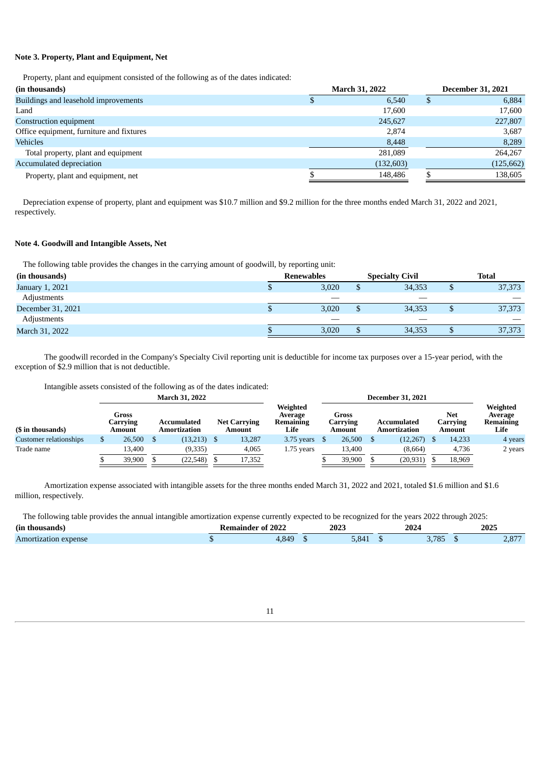# **Note 3. Property, Plant and Equipment, Net**

Property, plant and equipment consisted of the following as of the dates indicated:

| (in thousands)                           | <b>March 31, 2022</b> | <b>December 31, 2021</b> |
|------------------------------------------|-----------------------|--------------------------|
| Buildings and leasehold improvements     | 6.540                 | 6,884                    |
| Land                                     | 17,600                | 17,600                   |
| Construction equipment                   | 245,627               | 227,807                  |
| Office equipment, furniture and fixtures | 2,874                 | 3,687                    |
| <b>Vehicles</b>                          | 8,448                 | 8,289                    |
| Total property, plant and equipment      | 281,089               | 264,267                  |
| Accumulated depreciation                 | (132,603)             | (125, 662)               |
| Property, plant and equipment, net       | 148,486               | 138.605                  |

Depreciation expense of property, plant and equipment was \$10.7 million and \$9.2 million for the three months ended March 31, 2022 and 2021, respectively.

## **Note 4. Goodwill and Intangible Assets, Net**

The following table provides the changes in the carrying amount of goodwill, by reporting unit:

| (in thousands)    |  | <b>Renewables</b> | <b>Specialty Civil</b>   | <b>Total</b> |                          |  |
|-------------------|--|-------------------|--------------------------|--------------|--------------------------|--|
| January 1, 2021   |  | 3,020             | 34,353                   |              | 37,373                   |  |
| Adjustments       |  |                   | $\overline{\phantom{a}}$ |              |                          |  |
| December 31, 2021 |  | 3,020             | 34,353                   |              | 37,373                   |  |
| Adjustments       |  |                   | $\overline{\phantom{a}}$ |              | $\overline{\phantom{a}}$ |  |
| March 31, 2022    |  | 3,020             | 34,353                   |              | 37,373                   |  |

The goodwill recorded in the Company's Specialty Civil reporting unit is deductible for income tax purposes over a 15-year period, with the exception of \$2.9 million that is not deductible.

#### Intangible assets consisted of the following as of the dates indicated:

| <b>March 31, 2022</b>  |  |                             |  |                             |  |                               |                                                 |                             |                                    |                                  |                                                 |
|------------------------|--|-----------------------------|--|-----------------------------|--|-------------------------------|-------------------------------------------------|-----------------------------|------------------------------------|----------------------------------|-------------------------------------------------|
| (\$ in thousands)      |  | Gross<br>Carrying<br>Amount |  | Accumulated<br>Amortization |  | <b>Net Carrying</b><br>Amount | Weighted<br>Average<br><b>Remaining</b><br>Life | Gross<br>Carrving<br>Amount | Accumulated<br><b>Amortization</b> | <b>Net</b><br>Carrying<br>Amount | Weighted<br>Average<br><b>Remaining</b><br>Life |
| Customer relationships |  | 26,500                      |  | (13,213)                    |  | 13,287                        | 3.75 years                                      | 26,500                      | (12, 267)                          | 14.233                           | 4 years                                         |
| Trade name             |  | 13,400                      |  | (9,335)                     |  | 4,065                         | $1.75$ vears                                    | 13,400                      | (8,664)                            | 4,736                            | 2 years                                         |
|                        |  | 39,900                      |  | (22, 548)                   |  | 17,352                        |                                                 | 39.900                      | (20, 931)                          | 18,969                           |                                                 |

Amortization expense associated with intangible assets for the three months ended March 31, 2022 and 2021, totaled \$1.6 million and \$1.6 million, respectively.

The following table provides the annual intangible amortization expense currently expected to be recognized for the years 2022 through 2025:

| (in<br>anowe | 2022<br>*an.<br><b>01</b> | 2023 | 2024           | 2025       |  |
|--------------|---------------------------|------|----------------|------------|--|
| pense        |                           | .    | .70E<br>$'$ O. | 077<br>2.O |  |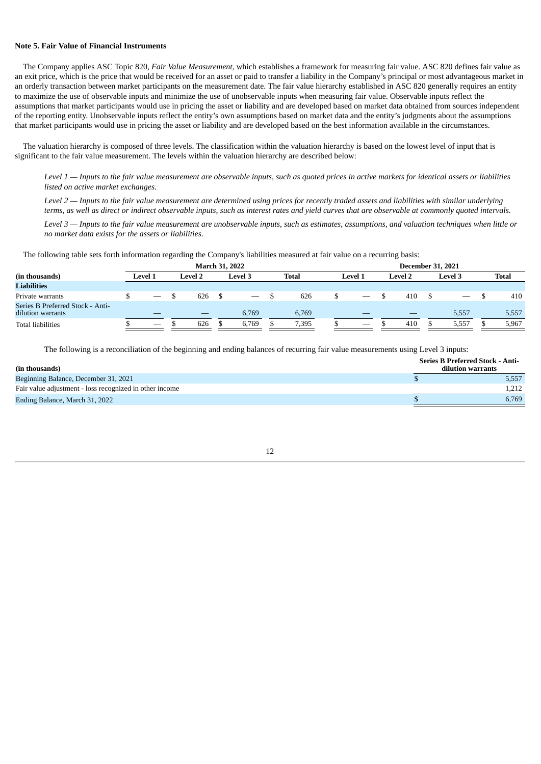#### **Note 5. Fair Value of Financial Instruments**

The Company applies ASC Topic 820, *Fair Value Measurement*, which establishes a framework for measuring fair value. ASC 820 defines fair value as an exit price, which is the price that would be received for an asset or paid to transfer a liability in the Company's principal or most advantageous market in an orderly transaction between market participants on the measurement date. The fair value hierarchy established in ASC 820 generally requires an entity to maximize the use of observable inputs and minimize the use of unobservable inputs when measuring fair value. Observable inputs reflect the assumptions that market participants would use in pricing the asset or liability and are developed based on market data obtained from sources independent of the reporting entity. Unobservable inputs reflect the entity's own assumptions based on market data and the entity's judgments about the assumptions that market participants would use in pricing the asset or liability and are developed based on the best information available in the circumstances.

The valuation hierarchy is composed of three levels. The classification within the valuation hierarchy is based on the lowest level of input that is significant to the fair value measurement. The levels within the valuation hierarchy are described below:

Level 1 - Inputs to the fair value measurement are observable inputs, such as quoted prices in active markets for identical assets or liabilities *listed on active market exchanges.*

Level 2 — Inputs to the fair value measurement are determined using prices for recently traded assets and liabilities with similar underlying terms, as well as direct or indirect observable inputs, such as interest rates and yield curves that are observable at commonly quoted intervals. Level 3 - Inputs to the fair value measurement are unobservable inputs, such as estimates, assumptions, and valuation techniques when little or

*no market data exists for the assets or liabilities.*

The following table sets forth information regarding the Company's liabilities measured at fair value on a recurring basis:

| <b>March 31, 2022</b>                                 |  |                                 |  |         |  |                   | <b>December 31, 2021</b> |  |                          |  |                |  |                |  |              |
|-------------------------------------------------------|--|---------------------------------|--|---------|--|-------------------|--------------------------|--|--------------------------|--|----------------|--|----------------|--|--------------|
| (in thousands)                                        |  | Level 1                         |  | Level 2 |  | Level 3           | <b>Total</b>             |  | <b>Level</b> 1           |  | <b>Level 2</b> |  | <b>Level 3</b> |  | <b>Total</b> |
| <b>Liabilities</b>                                    |  |                                 |  |         |  |                   |                          |  |                          |  |                |  |                |  |              |
| Private warrants                                      |  | $\hspace{0.1mm}-\hspace{0.1mm}$ |  | 626     |  | $\hspace{0.05cm}$ | 626                      |  |                          |  | 410            |  |                |  | 410          |
| Series B Preferred Stock - Anti-<br>dilution warrants |  |                                 |  |         |  | 6.769             | 6,769                    |  |                          |  |                |  | 5,557          |  | 5,557        |
| Total liabilities                                     |  |                                 |  | 626     |  | 6.769             | 7,395                    |  | $\overline{\phantom{a}}$ |  | 410            |  | 5,557          |  | 5,967        |
|                                                       |  |                                 |  |         |  |                   |                          |  |                          |  |                |  |                |  |              |

The following is a reconciliation of the beginning and ending balances of recurring fair value measurements using Level 3 inputs:

| (in thousands)                                          | <b>Series B Preferred Stock - Anti-</b><br>dilution warrants |       |
|---------------------------------------------------------|--------------------------------------------------------------|-------|
| Beginning Balance, December 31, 2021                    |                                                              | 5,557 |
| Fair value adjustment - loss recognized in other income |                                                              | 1,212 |
| Ending Balance, March 31, 2022                          |                                                              | 6.769 |
|                                                         |                                                              |       |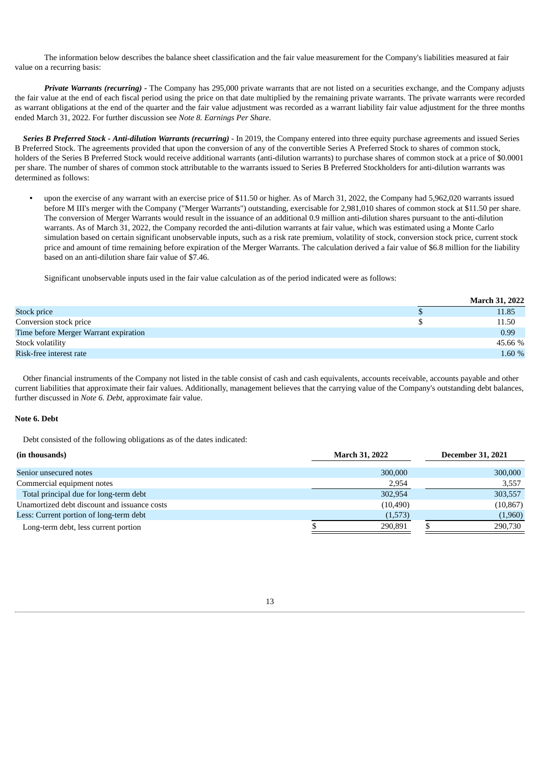The information below describes the balance sheet classification and the fair value measurement for the Company's liabilities measured at fair value on a recurring basis:

*Private Warrants (recurring) -* The Company has 295,000 private warrants that are not listed on a securities exchange, and the Company adjusts the fair value at the end of each fiscal period using the price on that date multiplied by the remaining private warrants. The private warrants were recorded as warrant obligations at the end of the quarter and the fair value adjustment was recorded as a warrant liability fair value adjustment for the three months ended March 31, 2022. For further discussion see *Note 8. Earnings Per Share*.

*Series B Preferred Stock - Anti-dilution Warrants (recurring)* - In 2019, the Company entered into three equity purchase agreements and issued Series B Preferred Stock. The agreements provided that upon the conversion of any of the convertible Series A Preferred Stock to shares of common stock, holders of the Series B Preferred Stock would receive additional warrants (anti-dilution warrants) to purchase shares of common stock at a price of \$0.0001 per share. The number of shares of common stock attributable to the warrants issued to Series B Preferred Stockholders for anti-dilution warrants was determined as follows:

*•* upon the exercise of any warrant with an exercise price of \$11.50 or higher. As of March 31, 2022, the Company had 5,962,020 warrants issued before M III's merger with the Company ("Merger Warrants") outstanding, exercisable for 2,981,010 shares of common stock at \$11.50 per share. The conversion of Merger Warrants would result in the issuance of an additional 0.9 million anti-dilution shares pursuant to the anti-dilution warrants. As of March 31, 2022, the Company recorded the anti-dilution warrants at fair value, which was estimated using a Monte Carlo simulation based on certain significant unobservable inputs, such as a risk rate premium, volatility of stock, conversion stock price, current stock price and amount of time remaining before expiration of the Merger Warrants. The calculation derived a fair value of \$6.8 million for the liability based on an anti-dilution share fair value of \$7.46.

Significant unobservable inputs used in the fair value calculation as of the period indicated were as follows:

|                                       | <b>March 31, 2022</b> |
|---------------------------------------|-----------------------|
| Stock price                           | 11.85                 |
| Conversion stock price                | 11.50                 |
| Time before Merger Warrant expiration | 0.99                  |
| Stock volatility                      | 45.66 %               |
| Risk-free interest rate               | 1.60 %                |

Other financial instruments of the Company not listed in the table consist of cash and cash equivalents, accounts receivable, accounts payable and other current liabilities that approximate their fair values. Additionally, management believes that the carrying value of the Company's outstanding debt balances, further discussed in *Note 6. Debt*, approximate fair value.

#### **Note 6. Debt**

Debt consisted of the following obligations as of the dates indicated:

#### **(in thousands) March 31, 2022 December 31, 2021**

| Senior unsecured notes                       | 300,000   | 300,000   |
|----------------------------------------------|-----------|-----------|
| Commercial equipment notes                   | 2,954     | 3,557     |
| Total principal due for long-term debt       | 302,954   | 303,557   |
| Unamortized debt discount and issuance costs | (10, 490) | (10, 867) |
| Less: Current portion of long-term debt      | (1,573)   | (1,960)   |
| Long-term debt, less current portion         | 290,891   | 290,730   |

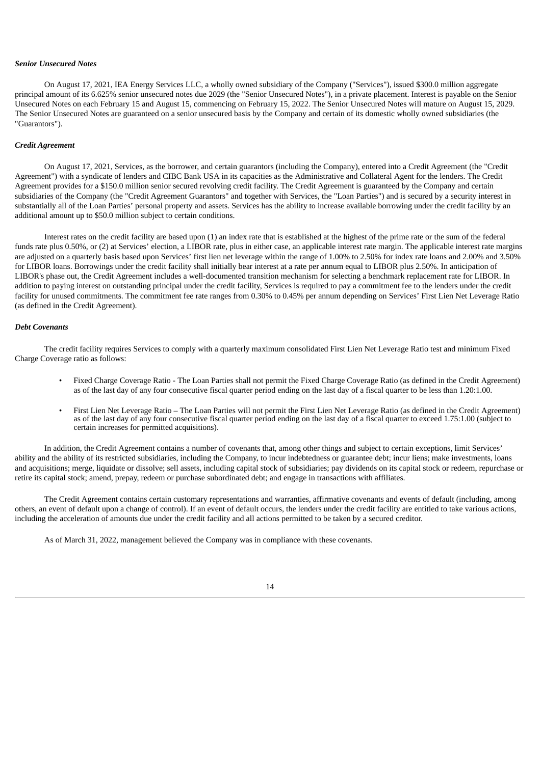### *Senior Unsecured Notes*

On August 17, 2021, IEA Energy Services LLC, a wholly owned subsidiary of the Company ("Services"), issued \$300.0 million aggregate principal amount of its 6.625% senior unsecured notes due 2029 (the "Senior Unsecured Notes"), in a private placement. Interest is payable on the Senior Unsecured Notes on each February 15 and August 15, commencing on February 15, 2022. The Senior Unsecured Notes will mature on August 15, 2029. The Senior Unsecured Notes are guaranteed on a senior unsecured basis by the Company and certain of its domestic wholly owned subsidiaries (the "Guarantors").

#### *Credit Agreement*

On August 17, 2021, Services, as the borrower, and certain guarantors (including the Company), entered into a Credit Agreement (the "Credit Agreement") with a syndicate of lenders and CIBC Bank USA in its capacities as the Administrative and Collateral Agent for the lenders. The Credit Agreement provides for a \$150.0 million senior secured revolving credit facility. The Credit Agreement is guaranteed by the Company and certain subsidiaries of the Company (the "Credit Agreement Guarantors" and together with Services, the "Loan Parties") and is secured by a security interest in substantially all of the Loan Parties' personal property and assets. Services has the ability to increase available borrowing under the credit facility by an additional amount up to \$50.0 million subject to certain conditions.

Interest rates on the credit facility are based upon (1) an index rate that is established at the highest of the prime rate or the sum of the federal funds rate plus 0.50%, or (2) at Services' election, a LIBOR rate, plus in either case, an applicable interest rate margin. The applicable interest rate margins are adjusted on a quarterly basis based upon Services' first lien net leverage within the range of 1.00% to 2.50% for index rate loans and 2.00% and 3.50% for LIBOR loans. Borrowings under the credit facility shall initially bear interest at a rate per annum equal to LIBOR plus 2.50%. In anticipation of LIBOR's phase out, the Credit Agreement includes a well-documented transition mechanism for selecting a benchmark replacement rate for LIBOR. In addition to paying interest on outstanding principal under the credit facility, Services is required to pay a commitment fee to the lenders under the credit facility for unused commitments. The commitment fee rate ranges from 0.30% to 0.45% per annum depending on Services' First Lien Net Leverage Ratio (as defined in the Credit Agreement).

#### *Debt Covenants*

The credit facility requires Services to comply with a quarterly maximum consolidated First Lien Net Leverage Ratio test and minimum Fixed Charge Coverage ratio as follows:

- Fixed Charge Coverage Ratio The Loan Parties shall not permit the Fixed Charge Coverage Ratio (as defined in the Credit Agreement) as of the last day of any four consecutive fiscal quarter period ending on the last day of a fiscal quarter to be less than 1.20:1.00.
- First Lien Net Leverage Ratio The Loan Parties will not permit the First Lien Net Leverage Ratio (as defined in the Credit Agreement) as of the last day of any four consecutive fiscal quarter period ending on the last day of a fiscal quarter to exceed 1.75:1.00 (subject to certain increases for permitted acquisitions).

In addition, the Credit Agreement contains a number of covenants that, among other things and subject to certain exceptions, limit Services' ability and the ability of its restricted subsidiaries, including the Company, to incur indebtedness or guarantee debt; incur liens; make investments, loans and acquisitions; merge, liquidate or dissolve; sell assets, including capital stock of subsidiaries; pay dividends on its capital stock or redeem, repurchase or retire its capital stock; amend, prepay, redeem or purchase subordinated debt; and engage in transactions with affiliates.

The Credit Agreement contains certain customary representations and warranties, affirmative covenants and events of default (including, among others, an event of default upon a change of control). If an event of default occurs, the lenders under the credit facility are entitled to take various actions, including the acceleration of amounts due under the credit facility and all actions permitted to be taken by a secured creditor.

As of March 31, 2022, management believed the Company was in compliance with these covenants.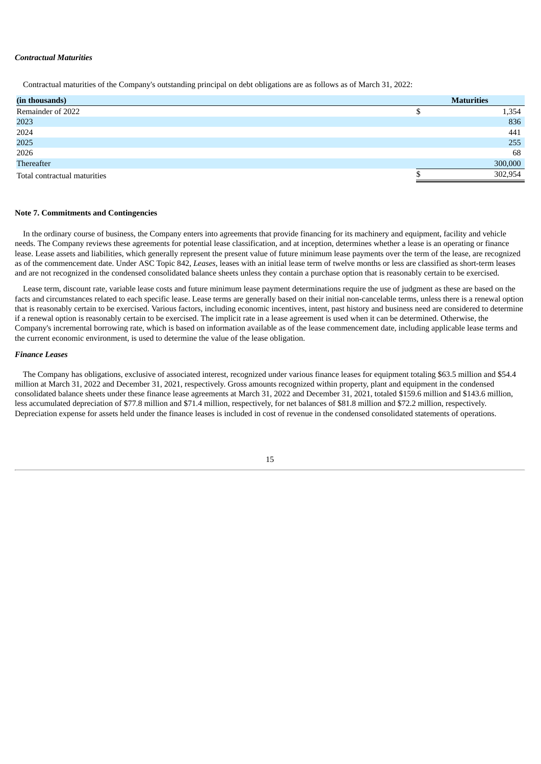### *Contractual Maturities*

Contractual maturities of the Company's outstanding principal on debt obligations are as follows as of March 31, 2022:

| (in thousands)               |  | <b>Maturities</b> |
|------------------------------|--|-------------------|
| Remainder of 2022            |  | 1,354             |
| 2023                         |  | 836               |
| 2024                         |  | 441               |
| 2025                         |  | 255               |
| 2026                         |  | 68                |
| Thereafter                   |  | 300,000           |
| Total contractual maturities |  | 302,954           |

#### **Note 7. Commitments and Contingencies**

In the ordinary course of business, the Company enters into agreements that provide financing for its machinery and equipment, facility and vehicle needs. The Company reviews these agreements for potential lease classification, and at inception, determines whether a lease is an operating or finance lease. Lease assets and liabilities, which generally represent the present value of future minimum lease payments over the term of the lease, are recognized as of the commencement date. Under ASC Topic 842, *Leases*, leases with an initial lease term of twelve months or less are classified as short-term leases and are not recognized in the condensed consolidated balance sheets unless they contain a purchase option that is reasonably certain to be exercised.

Lease term, discount rate, variable lease costs and future minimum lease payment determinations require the use of judgment as these are based on the facts and circumstances related to each specific lease. Lease terms are generally based on their initial non-cancelable terms, unless there is a renewal option that is reasonably certain to be exercised. Various factors, including economic incentives, intent, past history and business need are considered to determine if a renewal option is reasonably certain to be exercised. The implicit rate in a lease agreement is used when it can be determined. Otherwise, the Company's incremental borrowing rate, which is based on information available as of the lease commencement date, including applicable lease terms and the current economic environment, is used to determine the value of the lease obligation.

### *Finance Leases*

The Company has obligations, exclusive of associated interest, recognized under various finance leases for equipment totaling \$63.5 million and \$54.4 million at March 31, 2022 and December 31, 2021, respectively. Gross amounts recognized within property, plant and equipment in the condensed consolidated balance sheets under these finance lease agreements at March 31, 2022 and December 31, 2021, totaled \$159.6 million and \$143.6 million, less accumulated depreciation of \$77.8 million and \$71.4 million, respectively, for net balances of \$81.8 million and \$72.2 million, respectively. Depreciation expense for assets held under the finance leases is included in cost of revenue in the condensed consolidated statements of operations.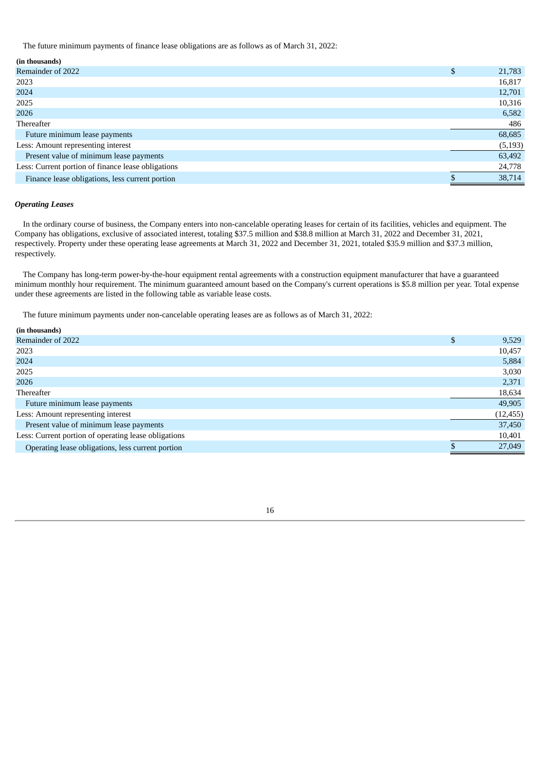The future minimum payments of finance lease obligations are as follows as of March 31, 2022:

| (in thousands)                                     |              |
|----------------------------------------------------|--------------|
| Remainder of 2022                                  | \$<br>21,783 |
| 2023                                               | 16,817       |
| 2024                                               | 12,701       |
| 2025                                               | 10,316       |
| 2026                                               | 6,582        |
| Thereafter                                         | 486          |
| Future minimum lease payments                      | 68,685       |
| Less: Amount representing interest                 | (5, 193)     |
| Present value of minimum lease payments            | 63,492       |
| Less: Current portion of finance lease obligations | 24,778       |
| Finance lease obligations, less current portion    | 38,714       |
|                                                    |              |

# *Operating Leases*

In the ordinary course of business, the Company enters into non-cancelable operating leases for certain of its facilities, vehicles and equipment. The Company has obligations, exclusive of associated interest, totaling \$37.5 million and \$38.8 million at March 31, 2022 and December 31, 2021, respectively. Property under these operating lease agreements at March 31, 2022 and December 31, 2021, totaled \$35.9 million and \$37.3 million, respectively.

The Company has long-term power-by-the-hour equipment rental agreements with a construction equipment manufacturer that have a guaranteed minimum monthly hour requirement. The minimum guaranteed amount based on the Company's current operations is \$5.8 million per year. Total expense under these agreements are listed in the following table as variable lease costs.

The future minimum payments under non-cancelable operating leases are as follows as of March 31, 2022:

| (in thousands)                                       |             |
|------------------------------------------------------|-------------|
| Remainder of 2022                                    | \$<br>9,529 |
| 2023                                                 | 10,457      |
| 2024                                                 | 5,884       |
| 2025                                                 | 3,030       |
| 2026                                                 | 2,371       |
| Thereafter                                           | 18,634      |
| Future minimum lease payments                        | 49,905      |
| Less: Amount representing interest                   | (12, 455)   |
| Present value of minimum lease payments              | 37,450      |
| Less: Current portion of operating lease obligations | 10,401      |
| Operating lease obligations, less current portion    | 27,049      |
|                                                      |             |

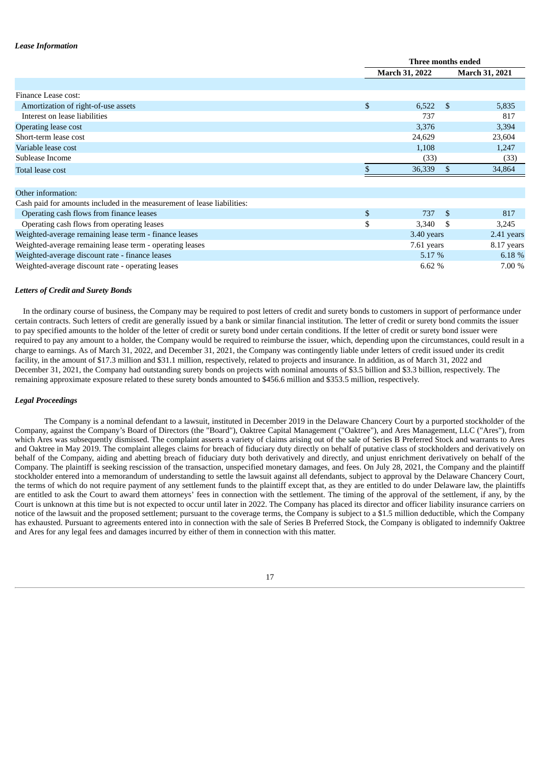## *Lease Information*

|                                                                         | Three months ended    |      |                       |  |  |
|-------------------------------------------------------------------------|-----------------------|------|-----------------------|--|--|
|                                                                         | <b>March 31, 2022</b> |      | <b>March 31, 2021</b> |  |  |
|                                                                         |                       |      |                       |  |  |
| Finance Lease cost:                                                     |                       |      |                       |  |  |
| Amortization of right-of-use assets                                     | \$<br>6,522           | - \$ | 5,835                 |  |  |
| Interest on lease liabilities                                           | 737                   |      | 817                   |  |  |
| Operating lease cost                                                    | 3,376                 |      | 3,394                 |  |  |
| Short-term lease cost                                                   | 24,629                |      | 23,604                |  |  |
| Variable lease cost                                                     | 1,108                 |      | 1,247                 |  |  |
| Sublease Income                                                         | (33)                  |      | (33)                  |  |  |
| Total lease cost                                                        | 36,339                | \$   | 34,864                |  |  |
|                                                                         |                       |      |                       |  |  |
| Other information:                                                      |                       |      |                       |  |  |
| Cash paid for amounts included in the measurement of lease liabilities: |                       |      |                       |  |  |
| Operating cash flows from finance leases                                | \$<br>737             | \$   | 817                   |  |  |
| Operating cash flows from operating leases                              | \$<br>3,340           | S    | 3,245                 |  |  |
| Weighted-average remaining lease term - finance leases                  | 3.40 years            |      | 2.41 years            |  |  |
| Weighted-average remaining lease term - operating leases                | 7.61 years            |      | 8.17 years            |  |  |
| Weighted-average discount rate - finance leases                         | 5.17 %                |      | 6.18 %                |  |  |
| Weighted-average discount rate - operating leases                       | 6.62 %                |      | 7.00 %                |  |  |

### *Letters of Credit and Surety Bonds*

In the ordinary course of business, the Company may be required to post letters of credit and surety bonds to customers in support of performance under certain contracts. Such letters of credit are generally issued by a bank or similar financial institution. The letter of credit or surety bond commits the issuer to pay specified amounts to the holder of the letter of credit or surety bond under certain conditions. If the letter of credit or surety bond issuer were required to pay any amount to a holder, the Company would be required to reimburse the issuer, which, depending upon the circumstances, could result in a charge to earnings. As of March 31, 2022, and December 31, 2021, the Company was contingently liable under letters of credit issued under its credit facility, in the amount of \$17.3 million and \$31.1 million, respectively, related to projects and insurance. In addition, as of March 31, 2022 and December 31, 2021, the Company had outstanding surety bonds on projects with nominal amounts of \$3.5 billion and \$3.3 billion, respectively. The remaining approximate exposure related to these surety bonds amounted to \$456.6 million and \$353.5 million, respectively.

## *Legal Proceedings*

The Company is a nominal defendant to a lawsuit, instituted in December 2019 in the Delaware Chancery Court by a purported stockholder of the Company, against the Company's Board of Directors (the "Board"), Oaktree Capital Management ("Oaktree"), and Ares Management, LLC ("Ares"), from which Ares was subsequently dismissed. The complaint asserts a variety of claims arising out of the sale of Series B Preferred Stock and warrants to Ares and Oaktree in May 2019. The complaint alleges claims for breach of fiduciary duty directly on behalf of putative class of stockholders and derivatively on behalf of the Company, aiding and abetting breach of fiduciary duty both derivatively and directly, and unjust enrichment derivatively on behalf of the Company. The plaintiff is seeking rescission of the transaction, unspecified monetary damages, and fees. On July 28, 2021, the Company and the plaintiff stockholder entered into a memorandum of understanding to settle the lawsuit against all defendants, subject to approval by the Delaware Chancery Court, the terms of which do not require payment of any settlement funds to the plaintiff except that, as they are entitled to do under Delaware law, the plaintiffs are entitled to ask the Court to award them attorneys' fees in connection with the settlement. The timing of the approval of the settlement, if any, by the Court is unknown at this time but is not expected to occur until later in 2022. The Company has placed its director and officer liability insurance carriers on notice of the lawsuit and the proposed settlement; pursuant to the coverage terms, the Company is subject to a \$1.5 million deductible, which the Company has exhausted. Pursuant to agreements entered into in connection with the sale of Series B Preferred Stock, the Company is obligated to indemnify Oaktree and Ares for any legal fees and damages incurred by either of them in connection with this matter.

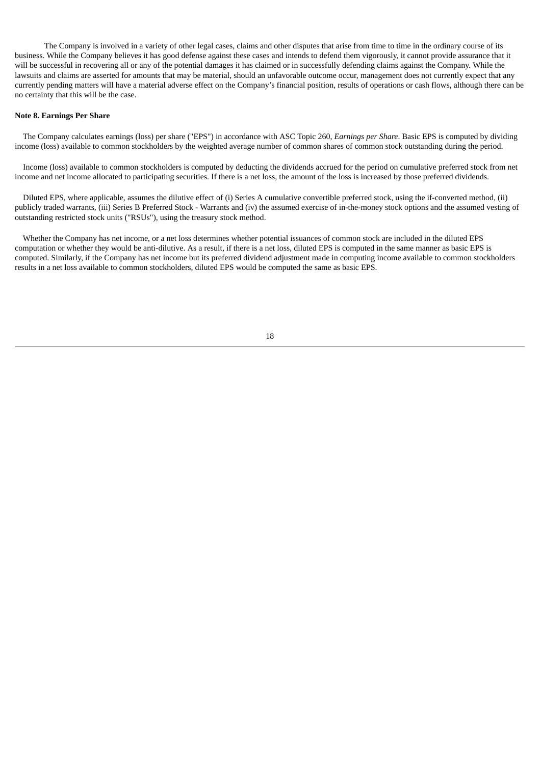The Company is involved in a variety of other legal cases, claims and other disputes that arise from time to time in the ordinary course of its business. While the Company believes it has good defense against these cases and intends to defend them vigorously, it cannot provide assurance that it will be successful in recovering all or any of the potential damages it has claimed or in successfully defending claims against the Company. While the lawsuits and claims are asserted for amounts that may be material, should an unfavorable outcome occur, management does not currently expect that any currently pending matters will have a material adverse effect on the Company's financial position, results of operations or cash flows, although there can be no certainty that this will be the case.

### **Note 8. Earnings Per Share**

The Company calculates earnings (loss) per share ("EPS") in accordance with ASC Topic 260, *Earnings per Share*. Basic EPS is computed by dividing income (loss) available to common stockholders by the weighted average number of common shares of common stock outstanding during the period.

Income (loss) available to common stockholders is computed by deducting the dividends accrued for the period on cumulative preferred stock from net income and net income allocated to participating securities. If there is a net loss, the amount of the loss is increased by those preferred dividends.

Diluted EPS, where applicable, assumes the dilutive effect of (i) Series A cumulative convertible preferred stock, using the if-converted method, (ii) publicly traded warrants, (iii) Series B Preferred Stock - Warrants and (iv) the assumed exercise of in-the-money stock options and the assumed vesting of outstanding restricted stock units ("RSUs"), using the treasury stock method.

Whether the Company has net income, or a net loss determines whether potential issuances of common stock are included in the diluted EPS computation or whether they would be anti-dilutive. As a result, if there is a net loss, diluted EPS is computed in the same manner as basic EPS is computed. Similarly, if the Company has net income but its preferred dividend adjustment made in computing income available to common stockholders results in a net loss available to common stockholders, diluted EPS would be computed the same as basic EPS.

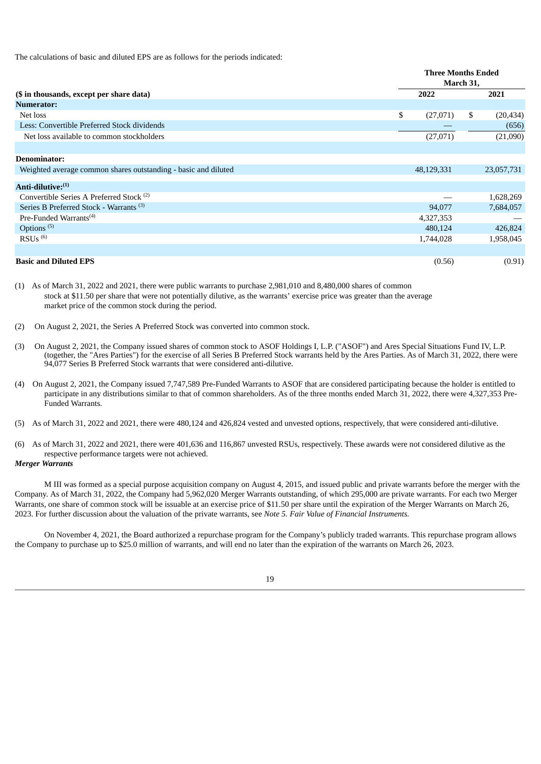The calculations of basic and diluted EPS are as follows for the periods indicated:

|                                                                |                | <b>Three Months Ended</b><br>March 31, |
|----------------------------------------------------------------|----------------|----------------------------------------|
| (\$ in thousands, except per share data)                       | 2022           | 2021                                   |
| <b>Numerator:</b>                                              |                |                                        |
| Net loss                                                       | \$<br>(27,071) | S.<br>(20, 434)                        |
| Less: Convertible Preferred Stock dividends                    |                | (656)                                  |
| Net loss available to common stockholders                      | (27,071)       | (21,090)                               |
|                                                                |                |                                        |
| <b>Denominator:</b>                                            |                |                                        |
| Weighted average common shares outstanding - basic and diluted | 48,129,331     | 23,057,731                             |
| Anti-dilutive: <sup>(1)</sup>                                  |                |                                        |
| Convertible Series A Preferred Stock <sup>(2)</sup>            |                | 1,628,269                              |
| Series B Preferred Stock - Warrants <sup>(3)</sup>             | 94,077         | 7,684,057                              |
| Pre-Funded Warrants <sup>(4)</sup>                             | 4,327,353      |                                        |
| Options <sup>(5)</sup>                                         | 480,124        | 426,824                                |
| $RSUs$ <sup>(6)</sup>                                          | 1,744,028      | 1,958,045                              |
|                                                                |                |                                        |
| <b>Basic and Diluted EPS</b>                                   | (0.56)         | (0.91)                                 |

(1) As of March 31, 2022 and 2021, there were public warrants to purchase 2,981,010 and 8,480,000 shares of common stock at \$11.50 per share that were not potentially dilutive, as the warrants' exercise price was greater than the average market price of the common stock during the period.

- (2) On August 2, 2021, the Series A Preferred Stock was converted into common stock.
- (3) On August 2, 2021, the Company issued shares of common stock to ASOF Holdings I, L.P. ("ASOF") and Ares Special Situations Fund IV, L.P. (together, the "Ares Parties") for the exercise of all Series B Preferred Stock warrants held by the Ares Parties. As of March 31, 2022, there were 94,077 Series B Preferred Stock warrants that were considered anti-dilutive.
- (4) On August 2, 2021, the Company issued 7,747,589 Pre-Funded Warrants to ASOF that are considered participating because the holder is entitled to participate in any distributions similar to that of common shareholders. As of the three months ended March 31, 2022, there were 4,327,353 Pre-Funded Warrants.
- (5) As of March 31, 2022 and 2021, there were 480,124 and 426,824 vested and unvested options, respectively, that were considered anti-dilutive.
- (6) As of March 31, 2022 and 2021, there were 401,636 and 116,867 unvested RSUs, respectively. These awards were not considered dilutive as the respective performance targets were not achieved.

## *Merger Warrants*

M III was formed as a special purpose acquisition company on August 4, 2015, and issued public and private warrants before the merger with the Company. As of March 31, 2022, the Company had 5,962,020 Merger Warrants outstanding, of which 295,000 are private warrants. For each two Merger Warrants, one share of common stock will be issuable at an exercise price of \$11.50 per share until the expiration of the Merger Warrants on March 26, 2023. For further discussion about the valuation of the private warrants, see *Note 5. Fair Value of Financial Instruments.*

On November 4, 2021, the Board authorized a repurchase program for the Company's publicly traded warrants. This repurchase program allows the Company to purchase up to \$25.0 million of warrants, and will end no later than the expiration of the warrants on March 26, 2023.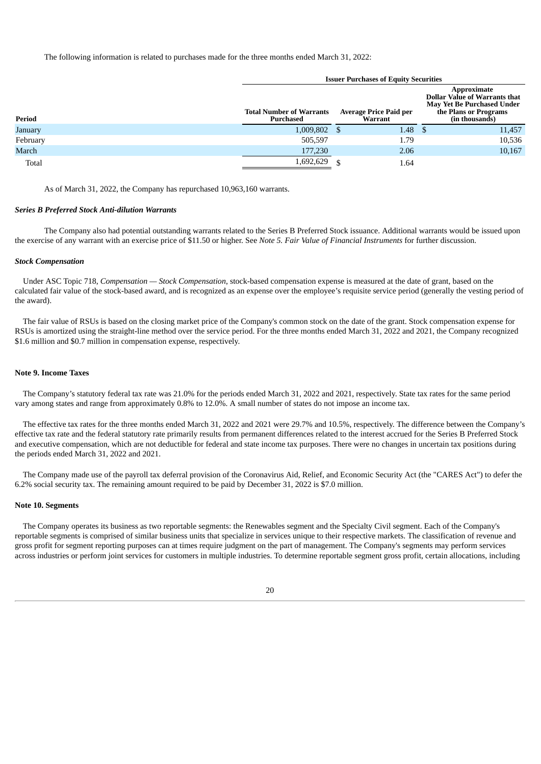The following information is related to purchases made for the three months ended March 31, 2022:

|          | <b>Issuer Purchases of Equity Securities</b> |                                          |   |                                                                                                                                     |  |
|----------|----------------------------------------------|------------------------------------------|---|-------------------------------------------------------------------------------------------------------------------------------------|--|
| Period   | <b>Total Number of Warrants</b><br>Purchased | Average Price Paid per<br><b>Warrant</b> |   | Approximate<br><b>Dollar Value of Warrants that</b><br><b>May Yet Be Purchased Under</b><br>the Plans or Programs<br>(in thousands) |  |
| January  | 1,009,802 \$                                 | 1.48                                     | 5 | 11,457                                                                                                                              |  |
| February | 505,597                                      | 1.79                                     |   | 10,536                                                                                                                              |  |
| March    | 177,230                                      | 2.06                                     |   | 10,167                                                                                                                              |  |
| Total    | 1,692,629                                    | 1.64                                     |   |                                                                                                                                     |  |

As of March 31, 2022, the Company has repurchased 10,963,160 warrants.

#### *Series B Preferred Stock Anti-dilution Warrants*

The Company also had potential outstanding warrants related to the Series B Preferred Stock issuance. Additional warrants would be issued upon the exercise of any warrant with an exercise price of \$11.50 or higher. See *Note 5. Fair Value of Financial Instruments* for further discussion.

#### *Stock Compensation*

Under ASC Topic 718, *Compensation — Stock Compensation*, stock-based compensation expense is measured at the date of grant, based on the calculated fair value of the stock-based award, and is recognized as an expense over the employee's requisite service period (generally the vesting period of the award).

The fair value of RSUs is based on the closing market price of the Company's common stock on the date of the grant. Stock compensation expense for RSUs is amortized using the straight-line method over the service period. For the three months ended March 31, 2022 and 2021, the Company recognized \$1.6 million and \$0.7 million in compensation expense, respectively.

## **Note 9. Income Taxes**

The Company's statutory federal tax rate was 21.0% for the periods ended March 31, 2022 and 2021, respectively. State tax rates for the same period vary among states and range from approximately 0.8% to 12.0%. A small number of states do not impose an income tax.

The effective tax rates for the three months ended March 31, 2022 and 2021 were 29.7% and 10.5%, respectively. The difference between the Company's effective tax rate and the federal statutory rate primarily results from permanent differences related to the interest accrued for the Series B Preferred Stock and executive compensation, which are not deductible for federal and state income tax purposes. There were no changes in uncertain tax positions during the periods ended March 31, 2022 and 2021.

The Company made use of the payroll tax deferral provision of the Coronavirus Aid, Relief, and Economic Security Act (the "CARES Act") to defer the 6.2% social security tax. The remaining amount required to be paid by December 31, 2022 is \$7.0 million.

#### **Note 10. Segments**

The Company operates its business as two reportable segments: the Renewables segment and the Specialty Civil segment. Each of the Company's reportable segments is comprised of similar business units that specialize in services unique to their respective markets. The classification of revenue and gross profit for segment reporting purposes can at times require judgment on the part of management. The Company's segments may perform services across industries or perform joint services for customers in multiple industries. To determine reportable segment gross profit, certain allocations, including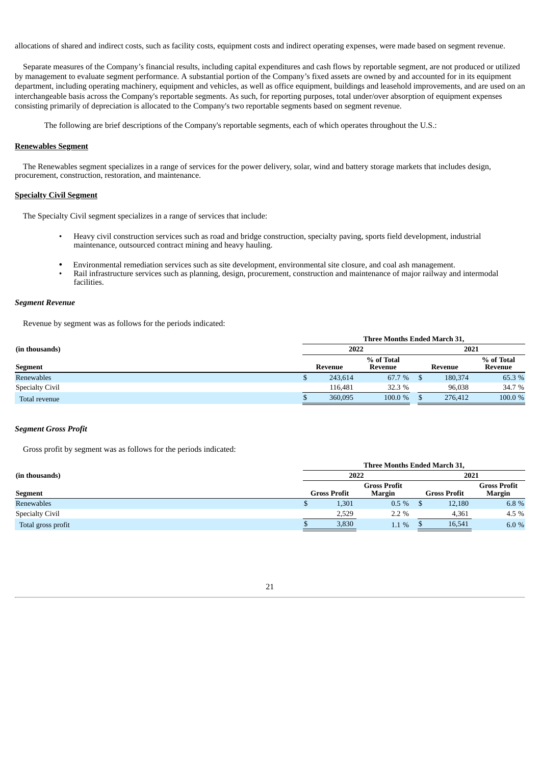allocations of shared and indirect costs, such as facility costs, equipment costs and indirect operating expenses, were made based on segment revenue.

Separate measures of the Company's financial results, including capital expenditures and cash flows by reportable segment, are not produced or utilized by management to evaluate segment performance. A substantial portion of the Company's fixed assets are owned by and accounted for in its equipment department, including operating machinery, equipment and vehicles, as well as office equipment, buildings and leasehold improvements, and are used on an interchangeable basis across the Company's reportable segments. As such, for reporting purposes, total under/over absorption of equipment expenses consisting primarily of depreciation is allocated to the Company's two reportable segments based on segment revenue.

The following are brief descriptions of the Company's reportable segments, each of which operates throughout the U.S.:

## **Renewables Segment**

The Renewables segment specializes in a range of services for the power delivery, solar, wind and battery storage markets that includes design, procurement, construction, restoration, and maintenance.

#### **Specialty Civil Segment**

The Specialty Civil segment specializes in a range of services that include:

- Heavy civil construction services such as road and bridge construction, specialty paving, sports field development, industrial maintenance, outsourced contract mining and heavy hauling.
- Environmental remediation services such as site development, environmental site closure, and coal ash management. • Rail infrastructure services such as planning, design, procurement, construction and maintenance of major railway and intermodal
- facilities.

## *Segment Revenue*

Revenue by segment was as follows for the periods indicated:

|                        | Three Months Ended March 31, |                |                       |  |         |                       |  |
|------------------------|------------------------------|----------------|-----------------------|--|---------|-----------------------|--|
| (in thousands)         |                              | 2022           |                       |  | 2021    |                       |  |
| <b>Segment</b>         |                              | <b>Revenue</b> | % of Total<br>Revenue |  | Revenue | % of Total<br>Revenue |  |
| Renewables             |                              | 243,614        | 67.7 %                |  | 180,374 | 65.3 %                |  |
| <b>Specialty Civil</b> |                              | 116,481        | 32.3 %                |  | 96.038  | 34.7 %                |  |
| Total revenue          |                              | 360,095        | 100.0 %               |  | 276,412 | 100.0 %               |  |

## *Segment Gross Profit*

Gross profit by segment was as follows for the periods indicated:

|                        | Three Months Ended March 31, |                     |                               |  |                     |                               |  |  |  |
|------------------------|------------------------------|---------------------|-------------------------------|--|---------------------|-------------------------------|--|--|--|
| (in thousands)         |                              | 2022                |                               |  |                     | 2021                          |  |  |  |
| <b>Segment</b>         |                              | <b>Gross Profit</b> | <b>Gross Profit</b><br>Margin |  | <b>Gross Profit</b> | <b>Gross Profit</b><br>Margin |  |  |  |
| Renewables             | Φ                            | 1,301               | $0.5\%$                       |  | 12,180              | 6.8 %                         |  |  |  |
| <b>Specialty Civil</b> |                              | 2,529               | $2.2\%$                       |  | 4,361               | 4.5 %                         |  |  |  |
| Total gross profit     |                              | 3,830               | $1.1\%$                       |  | 16,541              | 6.0 %                         |  |  |  |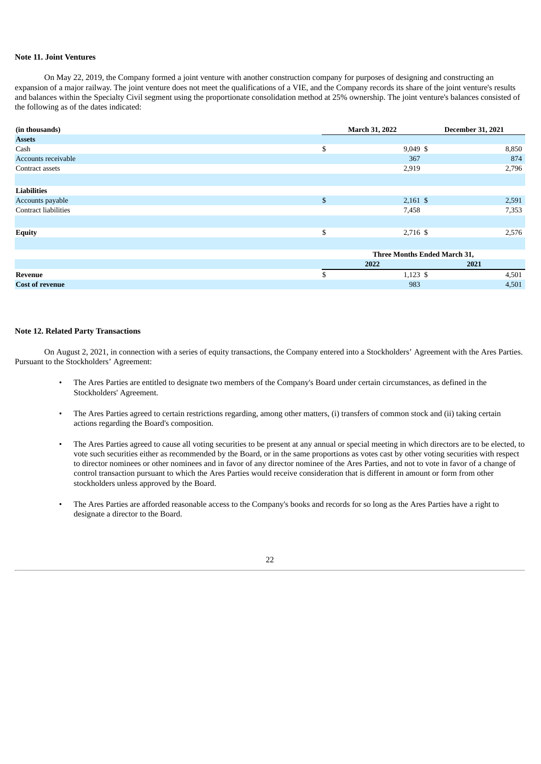## **Note 11. Joint Ventures**

On May 22, 2019, the Company formed a joint venture with another construction company for purposes of designing and constructing an expansion of a major railway. The joint venture does not meet the qualifications of a VIE, and the Company records its share of the joint venture's results and balances within the Specialty Civil segment using the proportionate consolidation method at 25% ownership. The joint venture's balances consisted of the following as of the dates indicated:

| (in thousands)              |                              | <b>March 31, 2022</b> | <b>December 31, 2021</b> |  |
|-----------------------------|------------------------------|-----------------------|--------------------------|--|
| <b>Assets</b>               |                              |                       |                          |  |
| Cash                        | \$                           | $9,049$ \$            | 8,850                    |  |
| Accounts receivable         |                              | 367                   | 874                      |  |
| Contract assets             |                              | 2,919                 | 2,796                    |  |
|                             |                              |                       |                          |  |
| <b>Liabilities</b>          |                              |                       |                          |  |
| Accounts payable            | $\mathfrak{S}$               | $2,161$ \$            | 2,591                    |  |
| <b>Contract liabilities</b> |                              | 7,458                 | 7,353                    |  |
|                             |                              |                       |                          |  |
| <b>Equity</b>               | \$                           | 2,716 \$              | 2,576                    |  |
|                             |                              |                       |                          |  |
|                             | Three Months Ended March 31, |                       |                          |  |
|                             |                              | 2022                  | 2021                     |  |
| Revenue                     | \$                           | $1,123$ \$            | 4,501                    |  |
| <b>Cost of revenue</b>      |                              | 983                   | 4,501                    |  |

### **Note 12. Related Party Transactions**

On August 2, 2021, in connection with a series of equity transactions, the Company entered into a Stockholders' Agreement with the Ares Parties. Pursuant to the Stockholders' Agreement:

- The Ares Parties are entitled to designate two members of the Company's Board under certain circumstances, as defined in the Stockholders' Agreement.
- The Ares Parties agreed to certain restrictions regarding, among other matters, (i) transfers of common stock and (ii) taking certain actions regarding the Board's composition.
- The Ares Parties agreed to cause all voting securities to be present at any annual or special meeting in which directors are to be elected, to vote such securities either as recommended by the Board, or in the same proportions as votes cast by other voting securities with respect to director nominees or other nominees and in favor of any director nominee of the Ares Parties, and not to vote in favor of a change of control transaction pursuant to which the Ares Parties would receive consideration that is different in amount or form from other stockholders unless approved by the Board.
- <span id="page-23-0"></span>• The Ares Parties are afforded reasonable access to the Company's books and records for so long as the Ares Parties have a right to designate a director to the Board.

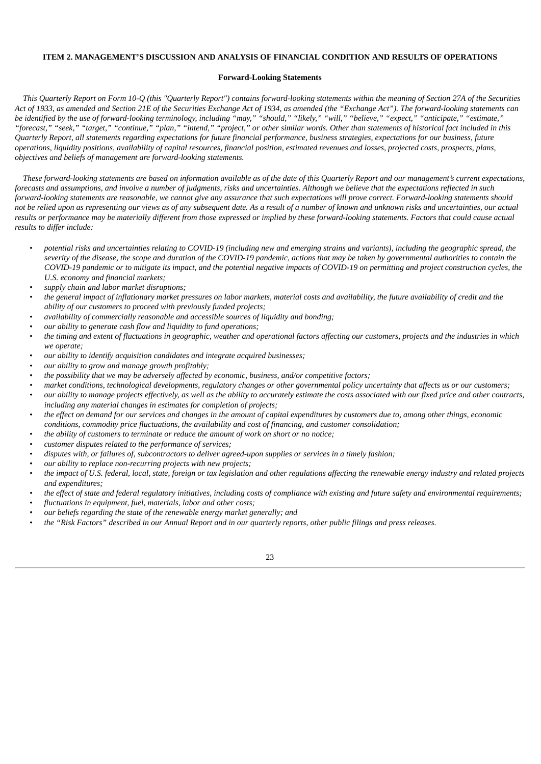# **ITEM 2. MANAGEMENT'S DISCUSSION AND ANALYSIS OF FINANCIAL CONDITION AND RESULTS OF OPERATIONS**

### **Forward-Looking Statements**

This Quarterly Report on Form 10-Q (this "Quarterly Report") contains forward-looking statements within the meaning of Section 27A of the Securities Act of 1933, as amended and Section 21E of the Securities Exchange Act of 1934, as amended (the "Exchange Act"). The forward-looking statements can be identified by the use of forward-looking terminology, including "may," "should," "likely," "will," "believe," "expect," "anticipate," "estimate," "forecast," "seek," "target," "continue," "plan," "intend," "project," or other similar words. Other than statements of historical fact included in this Quarterly Report, all statements regarding expectations for future financial performance, business strategies, expectations for our business, future operations, liquidity positions, availability of capital resources, financial position, estimated revenues and losses, projected costs, prospects, plans, *objectives and beliefs of management are forward-looking statements.*

These forward-looking statements are based on information available as of the date of this Quarterly Report and our management's current expectations, forecasts and assumptions, and involve a number of judgments, risks and uncertainties. Although we believe that the expectations reflected in such forward-looking statements are reasonable, we cannot give any assurance that such expectations will prove correct. Forward-looking statements should not be relied upon as representing our views as of any subsequent date. As a result of a number of known and unknown risks and uncertainties, our actual results or performance may be materially different from those expressed or implied by these forward-looking statements. Factors that could cause actual *results to differ include:*

- potential risks and uncertainties relating to COVID-19 (including new and emerging strains and variants), including the geographic spread, the severity of the disease, the scope and duration of the COVID-19 pandemic, actions that may be taken by governmental authorities to contain the COVID-19 pandemic or to mitigate its impact, and the potential negative impacts of COVID-19 on permitting and project construction cycles, the *U.S. economy and financial markets;*
- *• supply chain and labor market disruptions;*
- the general impact of inflationary market pressures on labor markets, material costs and availability, the future availability of credit and the *ability of our customers to proceed with previously funded projects;*
- *• availability of commercially reasonable and accessible sources of liquidity and bonding;*
- *• our ability to generate cash flow and liquidity to fund operations;*
- the timing and extent of fluctuations in geographic, weather and operational factors affecting our customers, projects and the industries in which *we operate;*
- *our ability to identify acquisition candidates and integrate acquired businesses;*
- *• our ability to grow and manage growth profitably;*
- *• the possibility that we may be adversely affected by economic, business, and/or competitive factors;*
- market conditions, technological developments, regulatory changes or other governmental policy uncertainty that affects us or our customers;
- our ability to manage projects effectively, as well as the ability to accurately estimate the costs associated with our fixed price and other contracts, *including any material changes in estimates for completion of projects;*
- the effect on demand for our services and changes in the amount of capital expenditures by customers due to, among other things, economic *conditions, commodity price fluctuations, the availability and cost of financing, and customer consolidation;*
- *• the ability of customers to terminate or reduce the amount of work on short or no notice;*
- *• customer disputes related to the performance of services;*
- disputes with, or failures of, subcontractors to deliver agreed-upon supplies or services in a timely fashion;
- *• our ability to replace non-recurring projects with new projects;*
- the impact of U.S. federal, local, state, foreign or tax legislation and other regulations affecting the renewable energy industry and related projects *and expenditures;*
- the effect of state and federal regulatory initiatives, including costs of compliance with existing and future safety and environmental requirements;
- *• fluctuations in equipment, fuel, materials, labor and other costs;*
- *• our beliefs regarding the state of the renewable energy market generally; and*
- the "Risk Factors" described in our Annual Report and in our quarterly reports, other public filings and press releases.

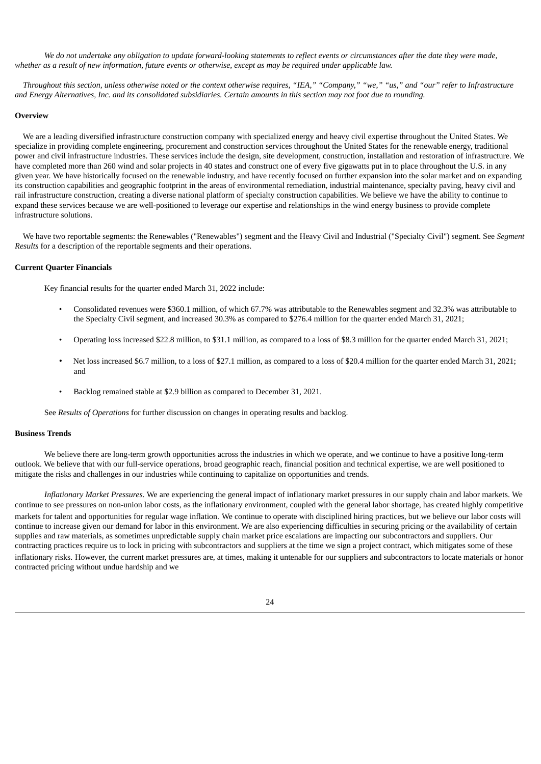We do not undertake any obligation to update forward-looking statements to reflect events or circumstances after the date they were made, whether as a result of new information, future events or otherwise, except as may be required under applicable law.

Throughout this section, unless otherwise noted or the context otherwise requires, "IEA," "Company," "we," "us," and "our" refer to Infrastructure and Energy Alternatives, Inc. and its consolidated subsidiaries. Certain amounts in this section may not foot due to rounding.

#### **Overview**

We are a leading diversified infrastructure construction company with specialized energy and heavy civil expertise throughout the United States. We specialize in providing complete engineering, procurement and construction services throughout the United States for the renewable energy, traditional power and civil infrastructure industries. These services include the design, site development, construction, installation and restoration of infrastructure. We have completed more than 260 wind and solar projects in 40 states and construct one of every five gigawatts put in to place throughout the U.S. in any given year. We have historically focused on the renewable industry, and have recently focused on further expansion into the solar market and on expanding its construction capabilities and geographic footprint in the areas of environmental remediation, industrial maintenance, specialty paving, heavy civil and rail infrastructure construction, creating a diverse national platform of specialty construction capabilities. We believe we have the ability to continue to expand these services because we are well-positioned to leverage our expertise and relationships in the wind energy business to provide complete infrastructure solutions.

We have two reportable segments: the Renewables ("Renewables") segment and the Heavy Civil and Industrial ("Specialty Civil") segment. See *Segment Results* for a description of the reportable segments and their operations.

#### **Current Quarter Financials**

Key financial results for the quarter ended March 31, 2022 include:

- Consolidated revenues were \$360.1 million, of which 67.7% was attributable to the Renewables segment and 32.3% was attributable to the Specialty Civil segment, and increased 30.3% as compared to \$276.4 million for the quarter ended March 31, 2021;
- Operating loss increased \$22.8 million, to \$31.1 million, as compared to a loss of \$8.3 million for the quarter ended March 31, 2021;
- Net loss increased \$6.7 million, to a loss of \$27.1 million, as compared to a loss of \$20.4 million for the quarter ended March 31, 2021; and
- Backlog remained stable at \$2.9 billion as compared to December 31, 2021.

See *Results of Operations* for further discussion on changes in operating results and backlog.

# **Business Trends**

We believe there are long-term growth opportunities across the industries in which we operate, and we continue to have a positive long-term outlook. We believe that with our full-service operations, broad geographic reach, financial position and technical expertise, we are well positioned to mitigate the risks and challenges in our industries while continuing to capitalize on opportunities and trends.

*Inflationary Market Pressures.* We are experiencing the general impact of inflationary market pressures in our supply chain and labor markets. We continue to see pressures on non-union labor costs, as the inflationary environment, coupled with the general labor shortage, has created highly competitive markets for talent and opportunities for regular wage inflation. We continue to operate with disciplined hiring practices, but we believe our labor costs will continue to increase given our demand for labor in this environment. We are also experiencing difficulties in securing pricing or the availability of certain supplies and raw materials, as sometimes unpredictable supply chain market price escalations are impacting our subcontractors and suppliers. Our contracting practices require us to lock in pricing with subcontractors and suppliers at the time we sign a project contract, which mitigates some of these inflationary risks. However, the current market pressures are, at times, making it untenable for our suppliers and subcontractors to locate materials or honor contracted pricing without undue hardship and we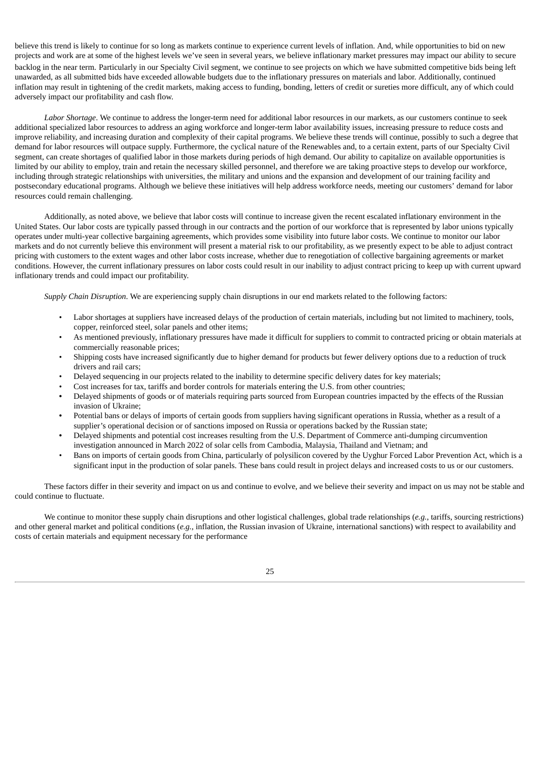believe this trend is likely to continue for so long as markets continue to experience current levels of inflation. And, while opportunities to bid on new projects and work are at some of the highest levels we've seen in several years, we believe inflationary market pressures may impact our ability to secure backlog in the near term. Particularly in our Specialty Civil segment, we continue to see projects on which we have submitted competitive bids being left unawarded, as all submitted bids have exceeded allowable budgets due to the inflationary pressures on materials and labor. Additionally, continued inflation may result in tightening of the credit markets, making access to funding, bonding, letters of credit or sureties more difficult, any of which could adversely impact our profitability and cash flow.

*Labor Shortage*. We continue to address the longer-term need for additional labor resources in our markets, as our customers continue to seek additional specialized labor resources to address an aging workforce and longer-term labor availability issues, increasing pressure to reduce costs and improve reliability, and increasing duration and complexity of their capital programs. We believe these trends will continue, possibly to such a degree that demand for labor resources will outpace supply. Furthermore, the cyclical nature of the Renewables and, to a certain extent, parts of our Specialty Civil segment, can create shortages of qualified labor in those markets during periods of high demand. Our ability to capitalize on available opportunities is limited by our ability to employ, train and retain the necessary skilled personnel, and therefore we are taking proactive steps to develop our workforce, including through strategic relationships with universities, the military and unions and the expansion and development of our training facility and postsecondary educational programs. Although we believe these initiatives will help address workforce needs, meeting our customers' demand for labor resources could remain challenging.

Additionally, as noted above, we believe that labor costs will continue to increase given the recent escalated inflationary environment in the United States. Our labor costs are typically passed through in our contracts and the portion of our workforce that is represented by labor unions typically operates under multi-year collective bargaining agreements, which provides some visibility into future labor costs. We continue to monitor our labor markets and do not currently believe this environment will present a material risk to our profitability, as we presently expect to be able to adjust contract pricing with customers to the extent wages and other labor costs increase, whether due to renegotiation of collective bargaining agreements or market conditions. However, the current inflationary pressures on labor costs could result in our inability to adjust contract pricing to keep up with current upward inflationary trends and could impact our profitability.

*Supply Chain Disruption*. We are experiencing supply chain disruptions in our end markets related to the following factors:

- Labor shortages at suppliers have increased delays of the production of certain materials, including but not limited to machinery, tools, copper, reinforced steel, solar panels and other items;
- As mentioned previously, inflationary pressures have made it difficult for suppliers to commit to contracted pricing or obtain materials at commercially reasonable prices;
- Shipping costs have increased significantly due to higher demand for products but fewer delivery options due to a reduction of truck drivers and rail cars;
- Delayed sequencing in our projects related to the inability to determine specific delivery dates for key materials;
- Cost increases for tax, tariffs and border controls for materials entering the U.S. from other countries;
- Delayed shipments of goods or of materials requiring parts sourced from European countries impacted by the effects of the Russian invasion of Ukraine;
- Potential bans or delays of imports of certain goods from suppliers having significant operations in Russia, whether as a result of a supplier's operational decision or of sanctions imposed on Russia or operations backed by the Russian state;
- Delayed shipments and potential cost increases resulting from the U.S. Department of Commerce anti-dumping circumvention investigation announced in March 2022 of solar cells from Cambodia, Malaysia, Thailand and Vietnam; and
- Bans on imports of certain goods from China, particularly of polysilicon covered by the Uyghur Forced Labor Prevention Act, which is a significant input in the production of solar panels. These bans could result in project delays and increased costs to us or our customers.

These factors differ in their severity and impact on us and continue to evolve, and we believe their severity and impact on us may not be stable and could continue to fluctuate.

We continue to monitor these supply chain disruptions and other logistical challenges, global trade relationships (*e.g.*, tariffs, sourcing restrictions) and other general market and political conditions (*e.g.*, inflation, the Russian invasion of Ukraine, international sanctions) with respect to availability and costs of certain materials and equipment necessary for the performance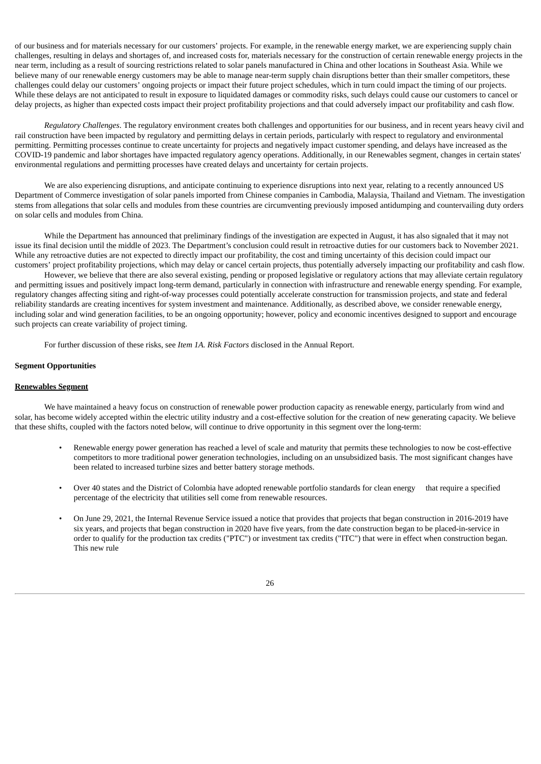of our business and for materials necessary for our customers' projects. For example, in the renewable energy market, we are experiencing supply chain challenges, resulting in delays and shortages of, and increased costs for, materials necessary for the construction of certain renewable energy projects in the near term, including as a result of sourcing restrictions related to solar panels manufactured in China and other locations in Southeast Asia. While we believe many of our renewable energy customers may be able to manage near-term supply chain disruptions better than their smaller competitors, these challenges could delay our customers' ongoing projects or impact their future project schedules, which in turn could impact the timing of our projects. While these delays are not anticipated to result in exposure to liquidated damages or commodity risks, such delays could cause our customers to cancel or delay projects, as higher than expected costs impact their project profitability projections and that could adversely impact our profitability and cash flow.

*Regulatory Challenges*. The regulatory environment creates both challenges and opportunities for our business, and in recent years heavy civil and rail construction have been impacted by regulatory and permitting delays in certain periods, particularly with respect to regulatory and environmental permitting. Permitting processes continue to create uncertainty for projects and negatively impact customer spending, and delays have increased as the COVID-19 pandemic and labor shortages have impacted regulatory agency operations. Additionally, in our Renewables segment, changes in certain states' environmental regulations and permitting processes have created delays and uncertainty for certain projects.

We are also experiencing disruptions, and anticipate continuing to experience disruptions into next year, relating to a recently announced US Department of Commerce investigation of solar panels imported from Chinese companies in Cambodia, Malaysia, Thailand and Vietnam. The investigation stems from allegations that solar cells and modules from these countries are circumventing previously imposed antidumping and countervailing duty orders on solar cells and modules from China.

While the Department has announced that preliminary findings of the investigation are expected in August, it has also signaled that it may not issue its final decision until the middle of 2023. The Department's conclusion could result in retroactive duties for our customers back to November 2021. While any retroactive duties are not expected to directly impact our profitability, the cost and timing uncertainty of this decision could impact our customers' project profitability projections, which may delay or cancel certain projects, thus potentially adversely impacting our profitability and cash flow.

However, we believe that there are also several existing, pending or proposed legislative or regulatory actions that may alleviate certain regulatory and permitting issues and positively impact long-term demand, particularly in connection with infrastructure and renewable energy spending. For example, regulatory changes affecting siting and right-of-way processes could potentially accelerate construction for transmission projects, and state and federal reliability standards are creating incentives for system investment and maintenance. Additionally, as described above, we consider renewable energy, including solar and wind generation facilities, to be an ongoing opportunity; however, policy and economic incentives designed to support and encourage such projects can create variability of project timing.

For further discussion of these risks, see *Item 1A. Risk Factors* disclosed in the Annual Report.

## **Segment Opportunities**

#### **Renewables Segment**

We have maintained a heavy focus on construction of renewable power production capacity as renewable energy, particularly from wind and solar, has become widely accepted within the electric utility industry and a cost-effective solution for the creation of new generating capacity. We believe that these shifts, coupled with the factors noted below, will continue to drive opportunity in this segment over the long-term:

- Renewable energy power generation has reached a level of scale and maturity that permits these technologies to now be cost-effective competitors to more traditional power generation technologies, including on an unsubsidized basis. The most significant changes have been related to increased turbine sizes and better battery storage methods.
- Over 40 states and the District of Colombia have adopted renewable portfolio standards for clean energy that require a specified percentage of the electricity that utilities sell come from renewable resources.
- On June 29, 2021, the Internal Revenue Service issued a notice that provides that projects that began construction in 2016-2019 have six years, and projects that began construction in 2020 have five years, from the date construction began to be placed-in-service in order to qualify for the production tax credits ("PTC") or investment tax credits ("ITC") that were in effect when construction began. This new rule

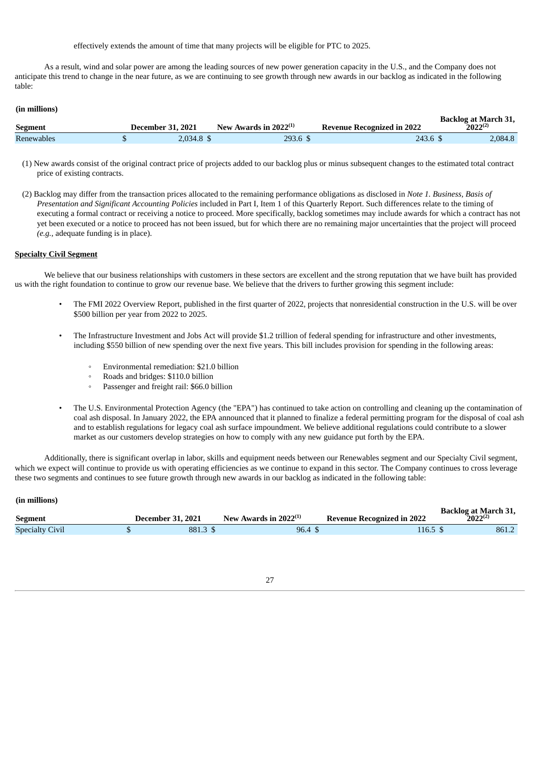effectively extends the amount of time that many projects will be eligible for PTC to 2025.

As a result, wind and solar power are among the leading sources of new power generation capacity in the U.S., and the Company does not anticipate this trend to change in the near future, as we are continuing to see growth through new awards in our backlog as indicated in the following table:

#### **(in millions)**

| <b>Segment</b>    | <b>December 31, 2021</b> | New Awards in $2022^{(1)}$ | <b>Revenue Recognized in 2022</b> | <b>Backlog at March 31.</b><br>$2022^{(2)}$ |
|-------------------|--------------------------|----------------------------|-----------------------------------|---------------------------------------------|
| <b>Renewables</b> | 2.034.8 \$               | 293.6                      | 243.6                             | 2,084.8                                     |

(1) New awards consist of the original contract price of projects added to our backlog plus or minus subsequent changes to the estimated total contract price of existing contracts.

(2) Backlog may differ from the transaction prices allocated to the remaining performance obligations as disclosed in *Note 1. Business, Basis of Presentation and Significant Accounting Policies* included in Part I, Item 1 of this Quarterly Report. Such differences relate to the timing of executing a formal contract or receiving a notice to proceed. More specifically, backlog sometimes may include awards for which a contract has not yet been executed or a notice to proceed has not been issued, but for which there are no remaining major uncertainties that the project will proceed *(e.g.*, adequate funding is in place).

## **Specialty Civil Segment**

We believe that our business relationships with customers in these sectors are excellent and the strong reputation that we have built has provided us with the right foundation to continue to grow our revenue base. We believe that the drivers to further growing this segment include:

- The FMI 2022 Overview Report, published in the first quarter of 2022, projects that nonresidential construction in the U.S. will be over \$500 billion per year from 2022 to 2025.
- The Infrastructure Investment and Jobs Act will provide \$1.2 trillion of federal spending for infrastructure and other investments, including \$550 billion of new spending over the next five years. This bill includes provision for spending in the following areas:
	- Environmental remediation: \$21.0 billion
	- Roads and bridges: \$110.0 billion
	- Passenger and freight rail: \$66.0 billion
- The U.S. Environmental Protection Agency (the "EPA") has continued to take action on controlling and cleaning up the contamination of coal ash disposal. In January 2022, the EPA announced that it planned to finalize a federal permitting program for the disposal of coal ash and to establish regulations for legacy coal ash surface impoundment. We believe additional regulations could contribute to a slower market as our customers develop strategies on how to comply with any new guidance put forth by the EPA.

Additionally, there is significant overlap in labor, skills and equipment needs between our Renewables segment and our Specialty Civil segment, which we expect will continue to provide us with operating efficiencies as we continue to expand in this sector. The Company continues to cross leverage these two segments and continues to see future growth through new awards in our backlog as indicated in the following table:

## **(in millions)**

| <b>Segment</b>         | <b>December 31, 2021</b> | New Awards in $2022^{(1)}$ | <b>Revenue Recognized in 2022</b> | <b>Backlog at March 31,</b><br>$2022^{(2)}$ |
|------------------------|--------------------------|----------------------------|-----------------------------------|---------------------------------------------|
| <b>Specialty Civil</b> | 881.3 \$                 | $96.4\text{ }$$            | $116.5~{\rm s}$                   | 861.2                                       |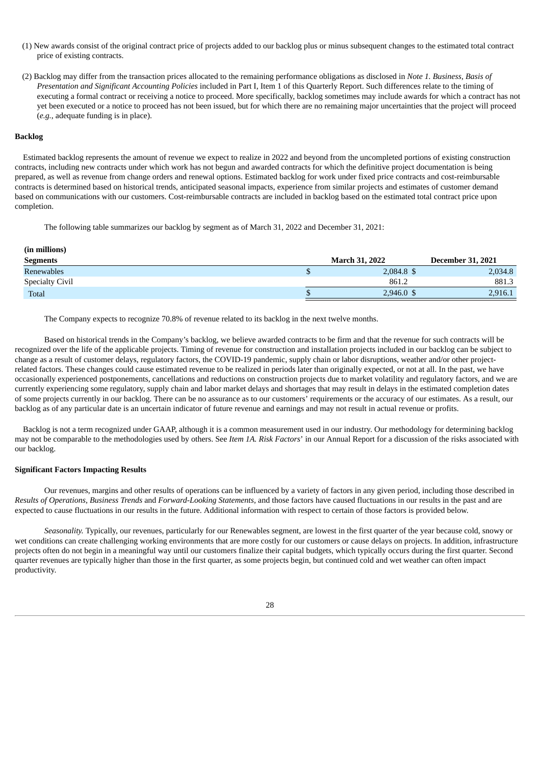- (1) New awards consist of the original contract price of projects added to our backlog plus or minus subsequent changes to the estimated total contract price of existing contracts.
- (2) Backlog may differ from the transaction prices allocated to the remaining performance obligations as disclosed in *Note 1. Business, Basis of Presentation and Significant Accounting Policies* included in Part I, Item 1 of this Quarterly Report. Such differences relate to the timing of executing a formal contract or receiving a notice to proceed. More specifically, backlog sometimes may include awards for which a contract has not yet been executed or a notice to proceed has not been issued, but for which there are no remaining major uncertainties that the project will proceed (*e.g.*, adequate funding is in place).

### **Backlog**

Estimated backlog represents the amount of revenue we expect to realize in 2022 and beyond from the uncompleted portions of existing construction contracts, including new contracts under which work has not begun and awarded contracts for which the definitive project documentation is being prepared, as well as revenue from change orders and renewal options. Estimated backlog for work under fixed price contracts and cost-reimbursable contracts is determined based on historical trends, anticipated seasonal impacts, experience from similar projects and estimates of customer demand based on communications with our customers. Cost-reimbursable contracts are included in backlog based on the estimated total contract price upon completion.

The following table summarizes our backlog by segment as of March 31, 2022 and December 31, 2021:

| (in millions)          |                       |                          |
|------------------------|-----------------------|--------------------------|
| <b>Segments</b>        | <b>March 31, 2022</b> | <b>December 31, 2021</b> |
| Renewables             | 2,084.8 \$            | 2,034.8                  |
| <b>Specialty Civil</b> | 861.2                 | 881.3                    |
| Total                  | $2,946.0$ \$          | 2,916.1                  |

The Company expects to recognize 70.8% of revenue related to its backlog in the next twelve months.

Based on historical trends in the Company's backlog, we believe awarded contracts to be firm and that the revenue for such contracts will be recognized over the life of the applicable projects. Timing of revenue for construction and installation projects included in our backlog can be subject to change as a result of customer delays, regulatory factors, the COVID-19 pandemic, supply chain or labor disruptions, weather and/or other projectrelated factors. These changes could cause estimated revenue to be realized in periods later than originally expected, or not at all. In the past, we have occasionally experienced postponements, cancellations and reductions on construction projects due to market volatility and regulatory factors, and we are currently experiencing some regulatory, supply chain and labor market delays and shortages that may result in delays in the estimated completion dates of some projects currently in our backlog. There can be no assurance as to our customers' requirements or the accuracy of our estimates. As a result, our backlog as of any particular date is an uncertain indicator of future revenue and earnings and may not result in actual revenue or profits.

Backlog is not a term recognized under GAAP, although it is a common measurement used in our industry. Our methodology for determining backlog may not be comparable to the methodologies used by others. See *Item 1A. Risk Factors*' in our Annual Report for a discussion of the risks associated with our backlog.

## **Significant Factors Impacting Results**

Our revenues, margins and other results of operations can be influenced by a variety of factors in any given period, including those described in *Results of Operations, Business Trends* and *Forward-Looking Statements,* and those factors have caused fluctuations in our results in the past and are expected to cause fluctuations in our results in the future. Additional information with respect to certain of those factors is provided below.

*Seasonality.* Typically, our revenues, particularly for our Renewables segment, are lowest in the first quarter of the year because cold, snowy or wet conditions can create challenging working environments that are more costly for our customers or cause delays on projects. In addition, infrastructure projects often do not begin in a meaningful way until our customers finalize their capital budgets, which typically occurs during the first quarter. Second quarter revenues are typically higher than those in the first quarter, as some projects begin, but continued cold and wet weather can often impact productivity.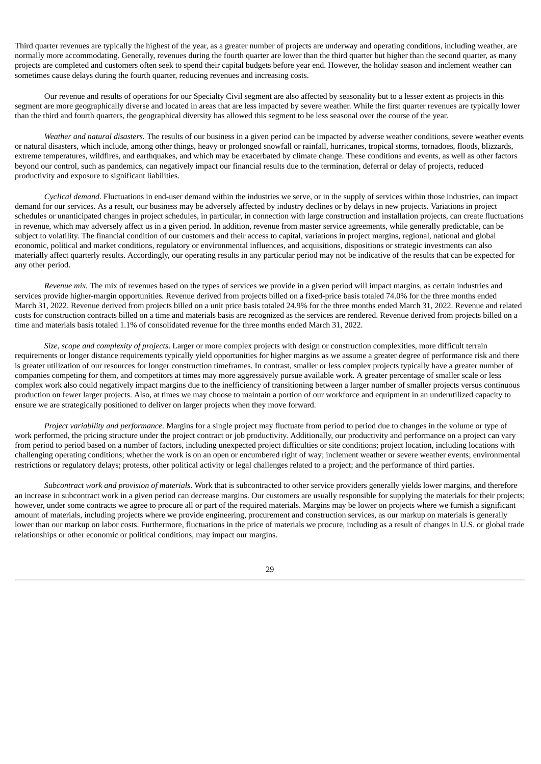Third quarter revenues are typically the highest of the year, as a greater number of projects are underway and operating conditions, including weather, are normally more accommodating. Generally, revenues during the fourth quarter are lower than the third quarter but higher than the second quarter, as many projects are completed and customers often seek to spend their capital budgets before year end. However, the holiday season and inclement weather can sometimes cause delays during the fourth quarter, reducing revenues and increasing costs.

Our revenue and results of operations for our Specialty Civil segment are also affected by seasonality but to a lesser extent as projects in this segment are more geographically diverse and located in areas that are less impacted by severe weather. While the first quarter revenues are typically lower than the third and fourth quarters, the geographical diversity has allowed this segment to be less seasonal over the course of the year.

*Weather and natural disasters.* The results of our business in a given period can be impacted by adverse weather conditions, severe weather events or natural disasters, which include, among other things, heavy or prolonged snowfall or rainfall, hurricanes, tropical storms, tornadoes, floods, blizzards, extreme temperatures, wildfires, and earthquakes, and which may be exacerbated by climate change. These conditions and events, as well as other factors beyond our control, such as pandemics, can negatively impact our financial results due to the termination, deferral or delay of projects, reduced productivity and exposure to significant liabilities.

*Cyclical demand*. Fluctuations in end-user demand within the industries we serve, or in the supply of services within those industries, can impact demand for our services. As a result, our business may be adversely affected by industry declines or by delays in new projects. Variations in project schedules or unanticipated changes in project schedules, in particular, in connection with large construction and installation projects, can create fluctuations in revenue, which may adversely affect us in a given period. In addition, revenue from master service agreements, while generally predictable, can be subject to volatility. The financial condition of our customers and their access to capital, variations in project margins, regional, national and global economic, political and market conditions, regulatory or environmental influences, and acquisitions, dispositions or strategic investments can also materially affect quarterly results. Accordingly, our operating results in any particular period may not be indicative of the results that can be expected for any other period.

*Revenue mix.* The mix of revenues based on the types of services we provide in a given period will impact margins, as certain industries and services provide higher-margin opportunities. Revenue derived from projects billed on a fixed-price basis totaled 74.0% for the three months ended March 31, 2022. Revenue derived from projects billed on a unit price basis totaled 24.9% for the three months ended March 31, 2022. Revenue and related costs for construction contracts billed on a time and materials basis are recognized as the services are rendered. Revenue derived from projects billed on a time and materials basis totaled 1.1% of consolidated revenue for the three months ended March 31, 2022.

*Size, scope and complexity of projects*. Larger or more complex projects with design or construction complexities, more difficult terrain requirements or longer distance requirements typically yield opportunities for higher margins as we assume a greater degree of performance risk and there is greater utilization of our resources for longer construction timeframes. In contrast, smaller or less complex projects typically have a greater number of companies competing for them, and competitors at times may more aggressively pursue available work. A greater percentage of smaller scale or less complex work also could negatively impact margins due to the inefficiency of transitioning between a larger number of smaller projects versus continuous production on fewer larger projects. Also, at times we may choose to maintain a portion of our workforce and equipment in an underutilized capacity to ensure we are strategically positioned to deliver on larger projects when they move forward.

*Project variability and performance.* Margins for a single project may fluctuate from period to period due to changes in the volume or type of work performed, the pricing structure under the project contract or job productivity. Additionally, our productivity and performance on a project can vary from period to period based on a number of factors, including unexpected project difficulties or site conditions; project location, including locations with challenging operating conditions; whether the work is on an open or encumbered right of way; inclement weather or severe weather events; environmental restrictions or regulatory delays; protests, other political activity or legal challenges related to a project; and the performance of third parties.

*Subcontract work and provision of materials.* Work that is subcontracted to other service providers generally yields lower margins, and therefore an increase in subcontract work in a given period can decrease margins. Our customers are usually responsible for supplying the materials for their projects; however, under some contracts we agree to procure all or part of the required materials. Margins may be lower on projects where we furnish a significant amount of materials, including projects where we provide engineering, procurement and construction services, as our markup on materials is generally lower than our markup on labor costs. Furthermore, fluctuations in the price of materials we procure, including as a result of changes in U.S. or global trade relationships or other economic or political conditions, may impact our margins.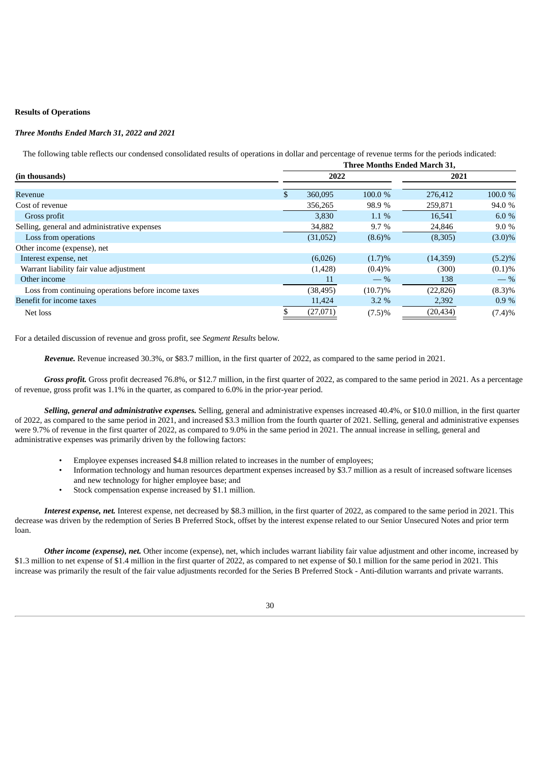## **Results of Operations**

#### *Three Months Ended March 31, 2022 and 2021*

The following table reflects our condensed consolidated results of operations in dollar and percentage of revenue terms for the periods indicated:

|                                                     |  | Three Months Ended March 31, |            |           |           |  |  |  |  |
|-----------------------------------------------------|--|------------------------------|------------|-----------|-----------|--|--|--|--|
| (in thousands)<br>Revenue                           |  | 2022                         |            | 2021      |           |  |  |  |  |
|                                                     |  | 360,095                      | 100.0 %    | 276,412   | 100.0 %   |  |  |  |  |
| Cost of revenue                                     |  | 356,265                      | 98.9 %     | 259,871   | 94.0 %    |  |  |  |  |
| Gross profit                                        |  | 3,830                        | $1.1\%$    | 16,541    | 6.0 $%$   |  |  |  |  |
| Selling, general and administrative expenses        |  | 34,882                       | $9.7\%$    | 24,846    | $9.0\%$   |  |  |  |  |
| Loss from operations                                |  | (31,052)                     | $(8.6)\%$  | (8,305)   | $(3.0)\%$ |  |  |  |  |
| Other income (expense), net                         |  |                              |            |           |           |  |  |  |  |
| Interest expense, net                               |  | (6,026)                      | $(1.7)\%$  | (14,359)  | $(5.2)\%$ |  |  |  |  |
| Warrant liability fair value adjustment             |  | (1,428)                      | (0.4)%     | (300)     | (0.1)%    |  |  |  |  |
| Other income                                        |  | 11                           | $-$ %      | 138       | $-$ %     |  |  |  |  |
| Loss from continuing operations before income taxes |  | (38, 495)                    | $(10.7)\%$ | (22, 826) | $(8.3)\%$ |  |  |  |  |
| Benefit for income taxes                            |  | 11,424                       | $3.2\%$    | 2,392     | $0.9\%$   |  |  |  |  |
| Net loss                                            |  | (27,071)                     | $(7.5)\%$  | (20, 434) | (7.4)%    |  |  |  |  |

For a detailed discussion of revenue and gross profit, see *Segment Results* below.

*Revenue.* Revenue increased 30.3%, or \$83.7 million, in the first quarter of 2022, as compared to the same period in 2021.

*Gross profit.* Gross profit decreased 76.8%, or \$12.7 million, in the first quarter of 2022, as compared to the same period in 2021. As a percentage of revenue, gross profit was 1.1% in the quarter, as compared to 6.0% in the prior-year period.

*Selling, general and administrative expenses.* Selling, general and administrative expenses increased 40.4%, or \$10.0 million, in the first quarter of 2022, as compared to the same period in 2021, and increased \$3.3 million from the fourth quarter of 2021. Selling, general and administrative expenses were 9.7% of revenue in the first quarter of 2022, as compared to 9.0% in the same period in 2021. The annual increase in selling, general and administrative expenses was primarily driven by the following factors:

- Employee expenses increased \$4.8 million related to increases in the number of employees;
- Information technology and human resources department expenses increased by \$3.7 million as a result of increased software licenses and new technology for higher employee base; and
- Stock compensation expense increased by \$1.1 million.

*Interest expense, net.* Interest expense, net decreased by \$8.3 million, in the first quarter of 2022, as compared to the same period in 2021. This decrease was driven by the redemption of Series B Preferred Stock, offset by the interest expense related to our Senior Unsecured Notes and prior term loan.

*Other income (expense), net.* Other income (expense), net, which includes warrant liability fair value adjustment and other income, increased by \$1.3 million to net expense of \$1.4 million in the first quarter of 2022, as compared to net expense of \$0.1 million for the same period in 2021. This increase was primarily the result of the fair value adjustments recorded for the Series B Preferred Stock - Anti-dilution warrants and private warrants.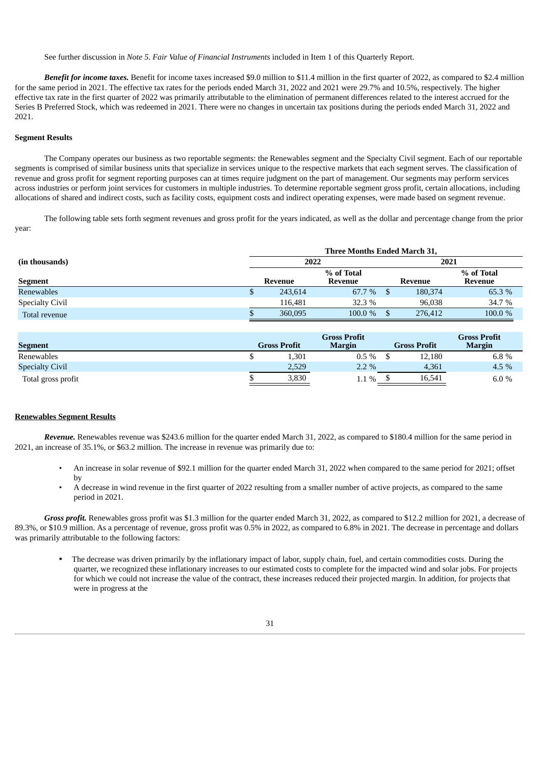See further discussion in *Note 5. Fair Value of Financial Instruments* included in Item 1 of this Quarterly Report.

*Benefit for income taxes.* Benefit for income taxes increased \$9.0 million to \$11.4 million in the first quarter of 2022, as compared to \$2.4 million for the same period in 2021. The effective tax rates for the periods ended March 31, 2022 and 2021 were 29.7% and 10.5%, respectively. The higher effective tax rate in the first quarter of 2022 was primarily attributable to the elimination of permanent differences related to the interest accrued for the Series B Preferred Stock, which was redeemed in 2021. There were no changes in uncertain tax positions during the periods ended March 31, 2022 and 2021.

#### **Segment Results**

The Company operates our business as two reportable segments: the Renewables segment and the Specialty Civil segment. Each of our reportable segments is comprised of similar business units that specialize in services unique to the respective markets that each segment serves. The classification of revenue and gross profit for segment reporting purposes can at times require judgment on the part of management. Our segments may perform services across industries or perform joint services for customers in multiple industries. To determine reportable segment gross profit, certain allocations, including allocations of shared and indirect costs, such as facility costs, equipment costs and indirect operating expenses, were made based on segment revenue.

The following table sets forth segment revenues and gross profit for the years indicated, as well as the dollar and percentage change from the prior year:

| Three Months Ended March 31, |  |         |                       |         |         |                       |
|------------------------------|--|---------|-----------------------|---------|---------|-----------------------|
| (in thousands)               |  | 2022    |                       |         | 2021    |                       |
| Segment                      |  | Revenue | % of Total<br>Revenue | Revenue |         | % of Total<br>Revenue |
| <b>Renewables</b>            |  | 243.614 | 67.7 %                |         | 180,374 | 65.3 %                |
| <b>Specialty Civil</b>       |  | 116.481 | 32.3 %                |         | 96.038  | 34.7 %                |
| Total revenue                |  | 360,095 | 100.0 %               |         | 276,412 | 100.0%                |

|                        | Gross Profit        |             |  | Gross Profit        |               |
|------------------------|---------------------|-------------|--|---------------------|---------------|
| <b>Segment</b>         | <b>Gross Profit</b> | Margin      |  | <b>Gross Profit</b> | <b>Margin</b> |
| Renewables             | 1,301               | $0.5\%$     |  | 12,180              | 6.8%          |
| <b>Specialty Civil</b> | 2,529               | $2.2\%$     |  | 4.361               | 4.5 $%$       |
| Total gross profit     | 3,830               | $\%$<br>1.1 |  | 16,541              | 6.0%          |

#### **Renewables Segment Results**

*Revenue.* Renewables revenue was \$243.6 million for the quarter ended March 31, 2022, as compared to \$180.4 million for the same period in 2021, an increase of 35.1%, or \$63.2 million. The increase in revenue was primarily due to:

- An increase in solar revenue of \$92.1 million for the quarter ended March 31, 2022 when compared to the same period for 2021; offset by
- A decrease in wind revenue in the first quarter of 2022 resulting from a smaller number of active projects, as compared to the same period in 2021.

*Gross profit.* Renewables gross profit was \$1.3 million for the quarter ended March 31, 2022, as compared to \$12.2 million for 2021, a decrease of 89.3%, or \$10.9 million. As a percentage of revenue, gross profit was 0.5% in 2022, as compared to 6.8% in 2021. The decrease in percentage and dollars was primarily attributable to the following factors:

• The decrease was driven primarily by the inflationary impact of labor, supply chain, fuel, and certain commodities costs. During the quarter, we recognized these inflationary increases to our estimated costs to complete for the impacted wind and solar jobs. For projects for which we could not increase the value of the contract, these increases reduced their projected margin. In addition, for projects that were in progress at the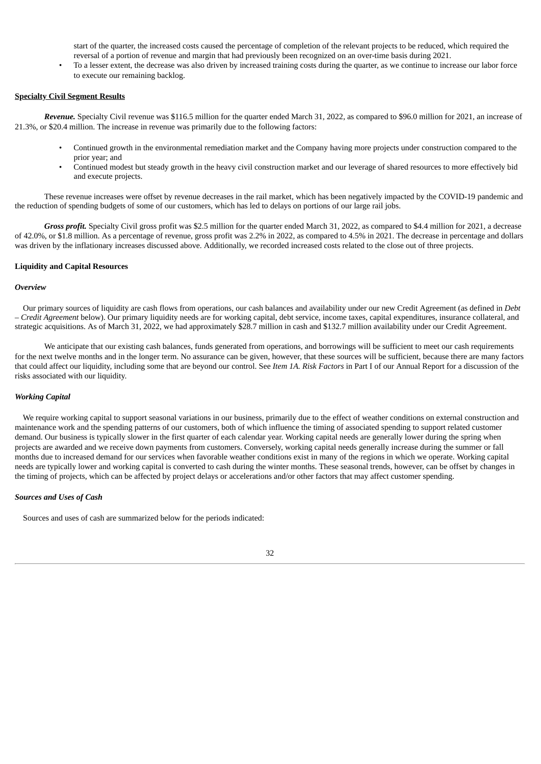start of the quarter, the increased costs caused the percentage of completion of the relevant projects to be reduced, which required the reversal of a portion of revenue and margin that had previously been recognized on an over-time basis during 2021.

• To a lesser extent, the decrease was also driven by increased training costs during the quarter, as we continue to increase our labor force to execute our remaining backlog.

#### **Specialty Civil Segment Results**

*Revenue.* Specialty Civil revenue was \$116.5 million for the quarter ended March 31, 2022, as compared to \$96.0 million for 2021, an increase of 21.3%, or \$20.4 million. The increase in revenue was primarily due to the following factors:

- Continued growth in the environmental remediation market and the Company having more projects under construction compared to the prior year; and
- Continued modest but steady growth in the heavy civil construction market and our leverage of shared resources to more effectively bid and execute projects.

These revenue increases were offset by revenue decreases in the rail market, which has been negatively impacted by the COVID-19 pandemic and the reduction of spending budgets of some of our customers, which has led to delays on portions of our large rail jobs.

*Gross profit.* Specialty Civil gross profit was \$2.5 million for the quarter ended March 31, 2022, as compared to \$4.4 million for 2021, a decrease of 42.0%, or \$1.8 million. As a percentage of revenue, gross profit was 2.2% in 2022, as compared to 4.5% in 2021. The decrease in percentage and dollars was driven by the inflationary increases discussed above. Additionally, we recorded increased costs related to the close out of three projects.

#### **Liquidity and Capital Resources**

#### *Overview*

Our primary sources of liquidity are cash flows from operations, our cash balances and availability under our new Credit Agreement (as defined in *Debt – Credit Agreement* below). Our primary liquidity needs are for working capital, debt service, income taxes, capital expenditures, insurance collateral, and strategic acquisitions. As of March 31, 2022, we had approximately \$28.7 million in cash and \$132.7 million availability under our Credit Agreement.

We anticipate that our existing cash balances, funds generated from operations, and borrowings will be sufficient to meet our cash requirements for the next twelve months and in the longer term. No assurance can be given, however, that these sources will be sufficient, because there are many factors that could affect our liquidity, including some that are beyond our control. See *Item 1A. Risk Factors* in Part I of our Annual Report for a discussion of the risks associated with our liquidity.

#### *Working Capital*

We require working capital to support seasonal variations in our business, primarily due to the effect of weather conditions on external construction and maintenance work and the spending patterns of our customers, both of which influence the timing of associated spending to support related customer demand. Our business is typically slower in the first quarter of each calendar year. Working capital needs are generally lower during the spring when projects are awarded and we receive down payments from customers. Conversely, working capital needs generally increase during the summer or fall months due to increased demand for our services when favorable weather conditions exist in many of the regions in which we operate. Working capital needs are typically lower and working capital is converted to cash during the winter months. These seasonal trends, however, can be offset by changes in the timing of projects, which can be affected by project delays or accelerations and/or other factors that may affect customer spending.

## *Sources and Uses of Cash*

Sources and uses of cash are summarized below for the periods indicated: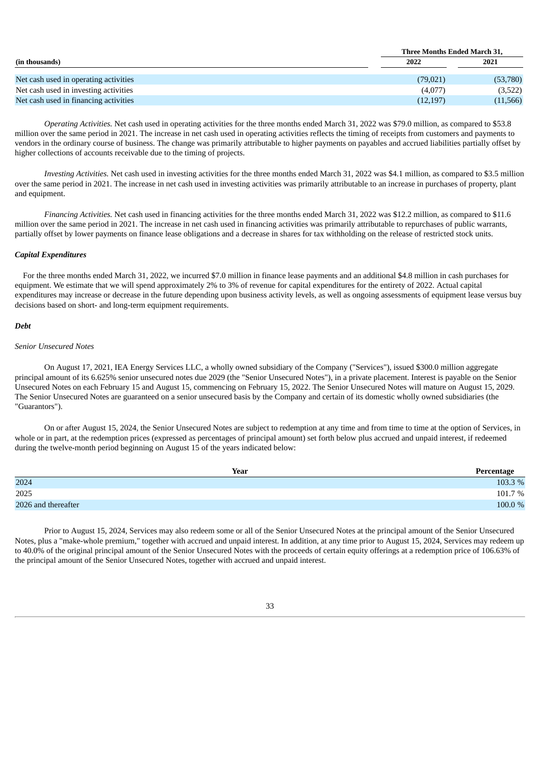|                                       | Three Months Ended March 31. |           |
|---------------------------------------|------------------------------|-----------|
| (in thousands)                        | 2022                         | 2021      |
|                                       |                              |           |
| Net cash used in operating activities | (79, 021)                    | (53,780)  |
| Net cash used in investing activities | (4,077)                      | (3,522)   |
| Net cash used in financing activities | (12, 197)                    | (11, 566) |

*Operating Activities.* Net cash used in operating activities for the three months ended March 31, 2022 was \$79.0 million, as compared to \$53.8 million over the same period in 2021. The increase in net cash used in operating activities reflects the timing of receipts from customers and payments to vendors in the ordinary course of business. The change was primarily attributable to higher payments on payables and accrued liabilities partially offset by higher collections of accounts receivable due to the timing of projects.

*Investing Activities.* Net cash used in investing activities for the three months ended March 31, 2022 was \$4.1 million, as compared to \$3.5 million over the same period in 2021. The increase in net cash used in investing activities was primarily attributable to an increase in purchases of property, plant and equipment.

*Financing Activities.* Net cash used in financing activities for the three months ended March 31, 2022 was \$12.2 million, as compared to \$11.6 million over the same period in 2021. The increase in net cash used in financing activities was primarily attributable to repurchases of public warrants, partially offset by lower payments on finance lease obligations and a decrease in shares for tax withholding on the release of restricted stock units.

## *Capital Expenditures*

For the three months ended March 31, 2022, we incurred \$7.0 million in finance lease payments and an additional \$4.8 million in cash purchases for equipment. We estimate that we will spend approximately 2% to 3% of revenue for capital expenditures for the entirety of 2022. Actual capital expenditures may increase or decrease in the future depending upon business activity levels, as well as ongoing assessments of equipment lease versus buy decisions based on short- and long-term equipment requirements.

#### *Debt*

## *Senior Unsecured Notes*

On August 17, 2021, IEA Energy Services LLC, a wholly owned subsidiary of the Company ("Services"), issued \$300.0 million aggregate principal amount of its 6.625% senior unsecured notes due 2029 (the "Senior Unsecured Notes"), in a private placement. Interest is payable on the Senior Unsecured Notes on each February 15 and August 15, commencing on February 15, 2022. The Senior Unsecured Notes will mature on August 15, 2029. The Senior Unsecured Notes are guaranteed on a senior unsecured basis by the Company and certain of its domestic wholly owned subsidiaries (the "Guarantors").

On or after August 15, 2024, the Senior Unsecured Notes are subject to redemption at any time and from time to time at the option of Services, in whole or in part, at the redemption prices (expressed as percentages of principal amount) set forth below plus accrued and unpaid interest, if redeemed during the twelve-month period beginning on August 15 of the years indicated below:

| Percentage |
|------------|
| 103.3 %    |
| 101.7%     |
| 100.0%     |
|            |

Prior to August 15, 2024, Services may also redeem some or all of the Senior Unsecured Notes at the principal amount of the Senior Unsecured Notes, plus a "make-whole premium," together with accrued and unpaid interest. In addition, at any time prior to August 15, 2024, Services may redeem up to 40.0% of the original principal amount of the Senior Unsecured Notes with the proceeds of certain equity offerings at a redemption price of 106.63% of the principal amount of the Senior Unsecured Notes, together with accrued and unpaid interest.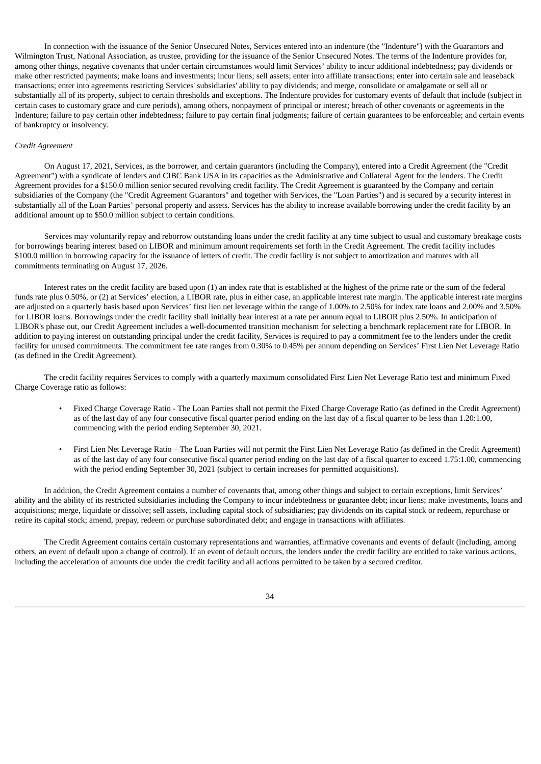In connection with the issuance of the Senior Unsecured Notes, Services entered into an indenture (the "Indenture") with the Guarantors and Wilmington Trust, National Association, as trustee, providing for the issuance of the Senior Unsecured Notes. The terms of the Indenture provides for, among other things, negative covenants that under certain circumstances would limit Services' ability to incur additional indebtedness; pay dividends or make other restricted payments; make loans and investments; incur liens; sell assets; enter into affiliate transactions; enter into certain sale and leaseback transactions; enter into agreements restricting Services' subsidiaries' ability to pay dividends; and merge, consolidate or amalgamate or sell all or substantially all of its property, subject to certain thresholds and exceptions. The Indenture provides for customary events of default that include (subject in certain cases to customary grace and cure periods), among others, nonpayment of principal or interest; breach of other covenants or agreements in the Indenture; failure to pay certain other indebtedness; failure to pay certain final judgments; failure of certain guarantees to be enforceable; and certain events of bankruptcy or insolvency.

#### *Credit Agreement*

On August 17, 2021, Services, as the borrower, and certain guarantors (including the Company), entered into a Credit Agreement (the "Credit Agreement") with a syndicate of lenders and CIBC Bank USA in its capacities as the Administrative and Collateral Agent for the lenders. The Credit Agreement provides for a \$150.0 million senior secured revolving credit facility. The Credit Agreement is guaranteed by the Company and certain subsidiaries of the Company (the "Credit Agreement Guarantors" and together with Services, the "Loan Parties") and is secured by a security interest in substantially all of the Loan Parties' personal property and assets. Services has the ability to increase available borrowing under the credit facility by an additional amount up to \$50.0 million subject to certain conditions.

Services may voluntarily repay and reborrow outstanding loans under the credit facility at any time subject to usual and customary breakage costs for borrowings bearing interest based on LIBOR and minimum amount requirements set forth in the Credit Agreement. The credit facility includes \$100.0 million in borrowing capacity for the issuance of letters of credit. The credit facility is not subject to amortization and matures with all commitments terminating on August 17, 2026.

Interest rates on the credit facility are based upon (1) an index rate that is established at the highest of the prime rate or the sum of the federal funds rate plus 0.50%, or (2) at Services' election, a LIBOR rate, plus in either case, an applicable interest rate margin. The applicable interest rate margins are adjusted on a quarterly basis based upon Services' first lien net leverage within the range of 1.00% to 2.50% for index rate loans and 2.00% and 3.50% for LIBOR loans. Borrowings under the credit facility shall initially bear interest at a rate per annum equal to LIBOR plus 2.50%. In anticipation of LIBOR's phase out, our Credit Agreement includes a well-documented transition mechanism for selecting a benchmark replacement rate for LIBOR. In addition to paying interest on outstanding principal under the credit facility, Services is required to pay a commitment fee to the lenders under the credit facility for unused commitments. The commitment fee rate ranges from 0.30% to 0.45% per annum depending on Services' First Lien Net Leverage Ratio (as defined in the Credit Agreement).

The credit facility requires Services to comply with a quarterly maximum consolidated First Lien Net Leverage Ratio test and minimum Fixed Charge Coverage ratio as follows:

- Fixed Charge Coverage Ratio The Loan Parties shall not permit the Fixed Charge Coverage Ratio (as defined in the Credit Agreement) as of the last day of any four consecutive fiscal quarter period ending on the last day of a fiscal quarter to be less than 1.20:1.00, commencing with the period ending September 30, 2021.
- First Lien Net Leverage Ratio The Loan Parties will not permit the First Lien Net Leverage Ratio (as defined in the Credit Agreement) as of the last day of any four consecutive fiscal quarter period ending on the last day of a fiscal quarter to exceed 1.75:1.00, commencing with the period ending September 30, 2021 (subject to certain increases for permitted acquisitions).

In addition, the Credit Agreement contains a number of covenants that, among other things and subject to certain exceptions, limit Services' ability and the ability of its restricted subsidiaries including the Company to incur indebtedness or guarantee debt; incur liens; make investments, loans and acquisitions; merge, liquidate or dissolve; sell assets, including capital stock of subsidiaries; pay dividends on its capital stock or redeem, repurchase or retire its capital stock; amend, prepay, redeem or purchase subordinated debt; and engage in transactions with affiliates.

The Credit Agreement contains certain customary representations and warranties, affirmative covenants and events of default (including, among others, an event of default upon a change of control). If an event of default occurs, the lenders under the credit facility are entitled to take various actions, including the acceleration of amounts due under the credit facility and all actions permitted to be taken by a secured creditor.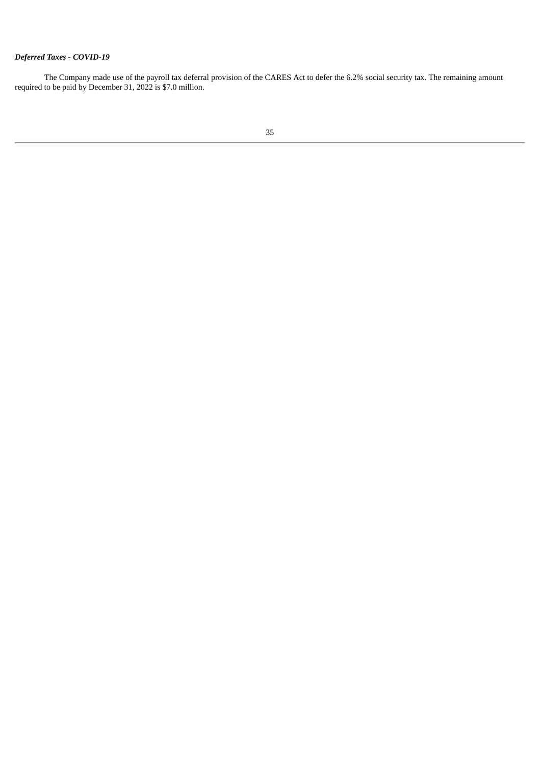# *Deferred Taxes - COVID-19*

The Company made use of the payroll tax deferral provision of the CARES Act to defer the 6.2% social security tax. The remaining amount required to be paid by December 31, 2022 is \$7.0 million.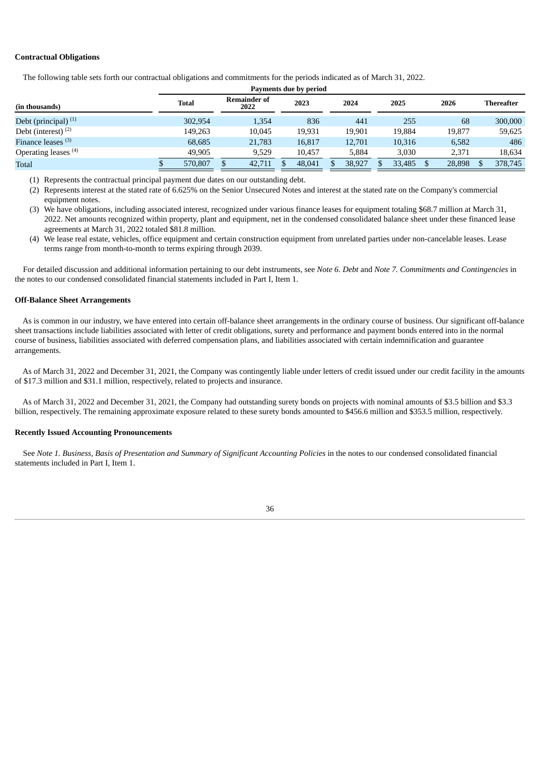## **Contractual Obligations**

The following table sets forth our contractual obligations and commitments for the periods indicated as of March 31, 2022.

| Payments due by period          |              |                             |        |        |        |        |            |
|---------------------------------|--------------|-----------------------------|--------|--------|--------|--------|------------|
| (in thousands)                  | <b>Total</b> | <b>Remainder of</b><br>2022 | 2023   | 2024   | 2025   | 2026   | Thereafter |
| Debt (principal) $(1)$          | 302,954      | 1,354                       | 836    | 441    | 255    | 68     | 300,000    |
| Debt (interest) $(2)$           | 149,263      | 10,045                      | 19,931 | 19,901 | 19,884 | 19,877 | 59,625     |
| Finance leases $(3)$            | 68,685       | 21,783                      | 16,817 | 12,701 | 10,316 | 6,582  | 486        |
| Operating leases <sup>(4)</sup> | 49,905       | 9,529                       | 10.457 | 5,884  | 3,030  | 2,371  | 18,634     |
| <b>Total</b>                    | 570,807      | 42,711                      | 48,041 | 38,927 | 33,485 | 28,898 | 378,745    |

(1) Represents the contractual principal payment due dates on our outstanding debt.

(2) Represents interest at the stated rate of 6.625% on the Senior Unsecured Notes and interest at the stated rate on the Company's commercial equipment notes.

(3) We have obligations, including associated interest, recognized under various finance leases for equipment totaling \$68.7 million at March 31, 2022. Net amounts recognized within property, plant and equipment, net in the condensed consolidated balance sheet under these financed lease agreements at March 31, 2022 totaled \$81.8 million.

(4) We lease real estate, vehicles, office equipment and certain construction equipment from unrelated parties under non-cancelable leases. Lease terms range from month-to-month to terms expiring through 2039.

For detailed discussion and additional information pertaining to our debt instruments, see *Note 6. Debt* and *Note 7. Commitments and Contingencies* in the notes to our condensed consolidated financial statements included in Part I, Item 1.

#### **Off-Balance Sheet Arrangements**

As is common in our industry, we have entered into certain off-balance sheet arrangements in the ordinary course of business. Our significant off-balance sheet transactions include liabilities associated with letter of credit obligations, surety and performance and payment bonds entered into in the normal course of business, liabilities associated with deferred compensation plans, and liabilities associated with certain indemnification and guarantee arrangements.

As of March 31, 2022 and December 31, 2021, the Company was contingently liable under letters of credit issued under our credit facility in the amounts of \$17.3 million and \$31.1 million, respectively, related to projects and insurance.

As of March 31, 2022 and December 31, 2021, the Company had outstanding surety bonds on projects with nominal amounts of \$3.5 billion and \$3.3 billion, respectively. The remaining approximate exposure related to these surety bonds amounted to \$456.6 million and \$353.5 million, respectively.

## **Recently Issued Accounting Pronouncements**

<span id="page-37-0"></span>See Note 1. Business, Basis of Presentation and Summary of Significant Accounting Policies in the notes to our condensed consolidated financial statements included in Part I, Item 1.

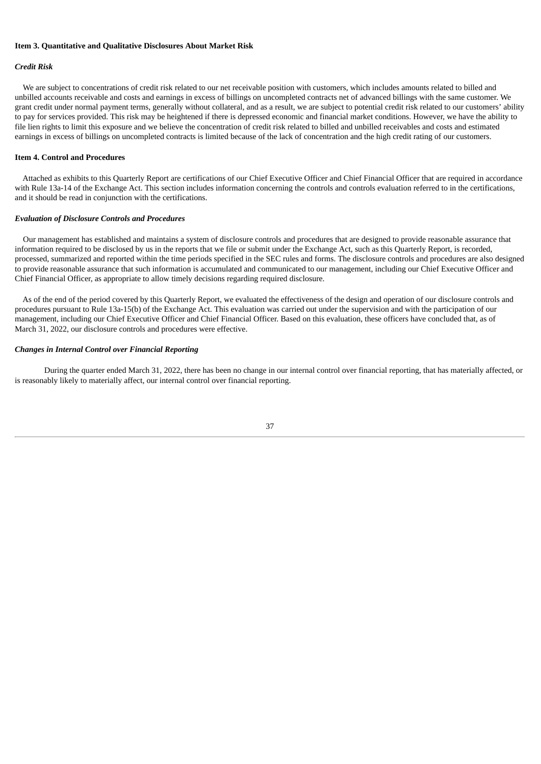## **Item 3. Quantitative and Qualitative Disclosures About Market Risk**

#### *Credit Risk*

We are subject to concentrations of credit risk related to our net receivable position with customers, which includes amounts related to billed and unbilled accounts receivable and costs and earnings in excess of billings on uncompleted contracts net of advanced billings with the same customer. We grant credit under normal payment terms, generally without collateral, and as a result, we are subject to potential credit risk related to our customers' ability to pay for services provided. This risk may be heightened if there is depressed economic and financial market conditions. However, we have the ability to file lien rights to limit this exposure and we believe the concentration of credit risk related to billed and unbilled receivables and costs and estimated earnings in excess of billings on uncompleted contracts is limited because of the lack of concentration and the high credit rating of our customers.

#### <span id="page-38-0"></span>**Item 4. Control and Procedures**

Attached as exhibits to this Quarterly Report are certifications of our Chief Executive Officer and Chief Financial Officer that are required in accordance with Rule 13a-14 of the Exchange Act. This section includes information concerning the controls and controls evaluation referred to in the certifications, and it should be read in conjunction with the certifications.

#### *Evaluation of Disclosure Controls and Procedures*

Our management has established and maintains a system of disclosure controls and procedures that are designed to provide reasonable assurance that information required to be disclosed by us in the reports that we file or submit under the Exchange Act, such as this Quarterly Report, is recorded, processed, summarized and reported within the time periods specified in the SEC rules and forms. The disclosure controls and procedures are also designed to provide reasonable assurance that such information is accumulated and communicated to our management, including our Chief Executive Officer and Chief Financial Officer, as appropriate to allow timely decisions regarding required disclosure.

As of the end of the period covered by this Quarterly Report, we evaluated the effectiveness of the design and operation of our disclosure controls and procedures pursuant to Rule 13a-15(b) of the Exchange Act. This evaluation was carried out under the supervision and with the participation of our management, including our Chief Executive Officer and Chief Financial Officer. Based on this evaluation, these officers have concluded that, as of March 31, 2022, our disclosure controls and procedures were effective.

#### *Changes in Internal Control over Financial Reporting*

During the quarter ended March 31, 2022, there has been no change in our internal control over financial reporting, that has materially affected, or is reasonably likely to materially affect, our internal control over financial reporting.

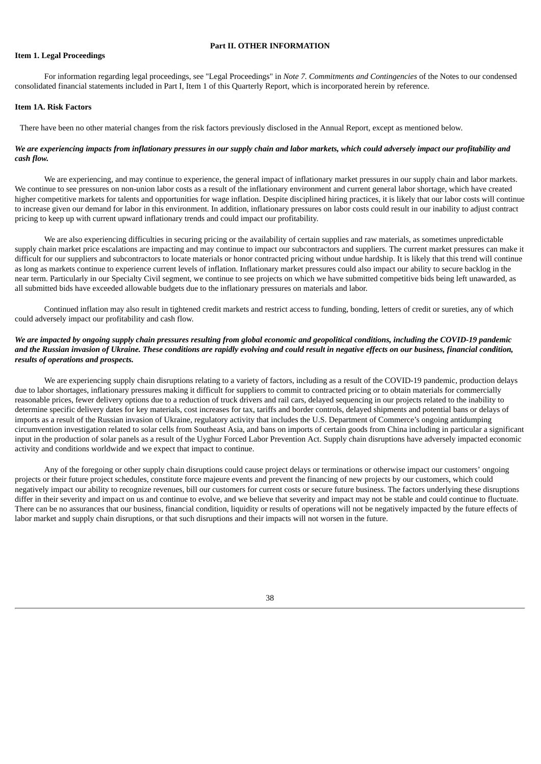### **Part II. OTHER INFORMATION**

#### <span id="page-39-0"></span>**Item 1. Legal Proceedings**

For information regarding legal proceedings, see "Legal Proceedings" in *Note 7. Commitments and Contingencies* of the Notes to our condensed consolidated financial statements included in Part I, Item 1 of this Quarterly Report, which is incorporated herein by reference.

#### <span id="page-39-1"></span>**Item 1A. Risk Factors**

There have been no other material changes from the risk factors previously disclosed in the Annual Report, except as mentioned below.

#### We are experiencing impacts from inflationary pressures in our supply chain and labor markets, which could adversely impact our profitability and *cash flow.*

We are experiencing, and may continue to experience, the general impact of inflationary market pressures in our supply chain and labor markets. We continue to see pressures on non-union labor costs as a result of the inflationary environment and current general labor shortage, which have created higher competitive markets for talents and opportunities for wage inflation. Despite disciplined hiring practices, it is likely that our labor costs will continue to increase given our demand for labor in this environment. In addition, inflationary pressures on labor costs could result in our inability to adjust contract pricing to keep up with current upward inflationary trends and could impact our profitability.

We are also experiencing difficulties in securing pricing or the availability of certain supplies and raw materials, as sometimes unpredictable supply chain market price escalations are impacting and may continue to impact our subcontractors and suppliers. The current market pressures can make it difficult for our suppliers and subcontractors to locate materials or honor contracted pricing without undue hardship. It is likely that this trend will continue as long as markets continue to experience current levels of inflation. Inflationary market pressures could also impact our ability to secure backlog in the near term. Particularly in our Specialty Civil segment, we continue to see projects on which we have submitted competitive bids being left unawarded, as all submitted bids have exceeded allowable budgets due to the inflationary pressures on materials and labor.

Continued inflation may also result in tightened credit markets and restrict access to funding, bonding, letters of credit or sureties, any of which could adversely impact our profitability and cash flow.

## We are impacted by ongoing supply chain pressures resulting from global economic and geopolitical conditions, including the COVID-19 pandemic and the Russian invasion of Ukraine. These conditions are rapidly evolving and could result in negative effects on our business, financial condition, *results of operations and prospects.*

We are experiencing supply chain disruptions relating to a variety of factors, including as a result of the COVID-19 pandemic, production delays due to labor shortages, inflationary pressures making it difficult for suppliers to commit to contracted pricing or to obtain materials for commercially reasonable prices, fewer delivery options due to a reduction of truck drivers and rail cars, delayed sequencing in our projects related to the inability to determine specific delivery dates for key materials, cost increases for tax, tariffs and border controls, delayed shipments and potential bans or delays of imports as a result of the Russian invasion of Ukraine, regulatory activity that includes the U.S. Department of Commerce's ongoing antidumping circumvention investigation related to solar cells from Southeast Asia, and bans on imports of certain goods from China including in particular a significant input in the production of solar panels as a result of the Uyghur Forced Labor Prevention Act. Supply chain disruptions have adversely impacted economic activity and conditions worldwide and we expect that impact to continue.

Any of the foregoing or other supply chain disruptions could cause project delays or terminations or otherwise impact our customers' ongoing projects or their future project schedules, constitute force majeure events and prevent the financing of new projects by our customers, which could negatively impact our ability to recognize revenues, bill our customers for current costs or secure future business. The factors underlying these disruptions differ in their severity and impact on us and continue to evolve, and we believe that severity and impact may not be stable and could continue to fluctuate. There can be no assurances that our business, financial condition, liquidity or results of operations will not be negatively impacted by the future effects of labor market and supply chain disruptions, or that such disruptions and their impacts will not worsen in the future.

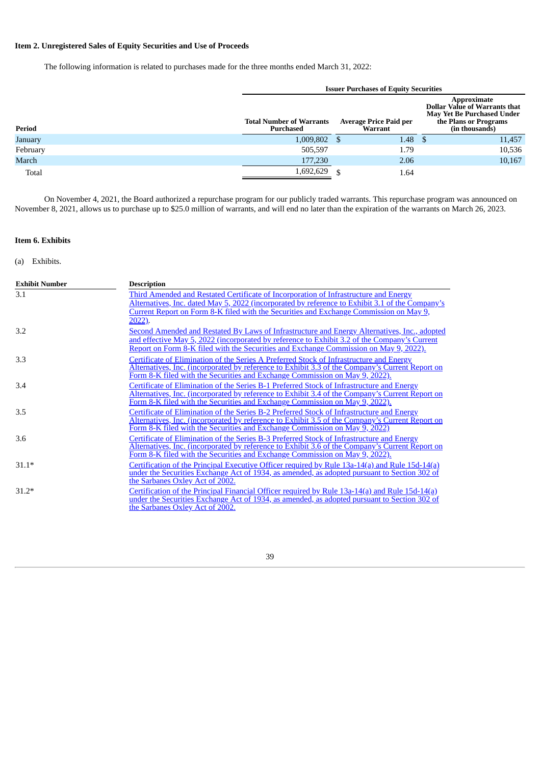# **Item 2. Unregistered Sales of Equity Securities and Use of Proceeds**

The following information is related to purchases made for the three months ended March 31, 2022:

|          | <b>Issuer Purchases of Equity Securities</b>                           |      |                                                                                                                                     |  |  |
|----------|------------------------------------------------------------------------|------|-------------------------------------------------------------------------------------------------------------------------------------|--|--|
| Period   | <b>Total Number of Warrants</b><br>Average Price Paid per<br>Purchased |      | Approximate<br><b>Dollar Value of Warrants that</b><br><b>May Yet Be Purchased Under</b><br>the Plans or Programs<br>(in thousands) |  |  |
| January  | 1,009,802 \$                                                           | 1.48 | 11,457                                                                                                                              |  |  |
| February | 505,597                                                                | 1.79 | 10,536                                                                                                                              |  |  |
| March    | 177,230                                                                | 2.06 | 10,167                                                                                                                              |  |  |
| Total    | 1,692,629                                                              | 1.64 |                                                                                                                                     |  |  |

On November 4, 2021, the Board authorized a repurchase program for our publicly traded warrants. This repurchase program was announced on November 8, 2021, allows us to purchase up to \$25.0 million of warrants, and will end no later than the expiration of the warrants on March 26, 2023.

# <span id="page-40-0"></span>**Item 6. Exhibits**

(a) Exhibits.

| <b>Exhibit Number</b> | <b>Description</b>                                                                                                                                                                                                                                                                             |
|-----------------------|------------------------------------------------------------------------------------------------------------------------------------------------------------------------------------------------------------------------------------------------------------------------------------------------|
| 3.1                   | Third Amended and Restated Certificate of Incorporation of Infrastructure and Energy<br>Alternatives, Inc. dated May 5, 2022 (incorporated by reference to Exhibit 3.1 of the Company's<br>Current Report on Form 8-K filed with the Securities and Exchange Commission on May 9,<br>$2022$ ). |
| 3.2                   | Second Amended and Restated By Laws of Infrastructure and Energy Alternatives, Inc., adopted<br>and effective May 5, 2022 (incorporated by reference to Exhibit 3.2 of the Company's Current<br>Report on Form 8-K filed with the Securities and Exchange Commission on May 9, 2022).          |
| 3.3                   | Certificate of Elimination of the Series A Preferred Stock of Infrastructure and Energy<br>Alternatives, Inc. (incorporated by reference to Exhibit 3.3 of the Company's Current Report on<br>Form 8-K filed with the Securities and Exchange Commission on May 9, 2022).                      |
| 3.4                   | Certificate of Elimination of the Series B-1 Preferred Stock of Infrastructure and Energy<br><u>Alternatives, Inc. (incorporated by reference to Exhibit 3.4 of the Company's Current Report on</u><br>Form 8-K filed with the Securities and Exchange Commission on May 9, 2022).             |
| 3.5                   | <b>Certificate of Elimination of the Series B-2 Preferred Stock of Infrastructure and Energy</b><br>Alternatives, Inc. (incorporated by reference to Exhibit 3.5 of the Company's Current Report on<br>Form 8-K filed with the Securities and Exchange Commission on May 9, 2022)              |
| 3.6                   | Certificate of Elimination of the Series B-3 Preferred Stock of Infrastructure and Energy<br><u>Alternatives, Inc. (incorporated by reference to Exhibit 3.6 of the Company's Current Report on</u><br>Form 8-K filed with the Securities and Exchange Commission on May 9, 2022).             |
| $31.1*$               | Certification of the Principal Executive Officer required by Rule 13a-14(a) and Rule 15d-14(a).<br>under the Securities Exchange Act of 1934, as amended, as adopted pursuant to Section 302 of<br>the Sarbanes Oxley Act of 2002.                                                             |
| $31.2*$               | Certification of the Principal Financial Officer required by Rule 13a-14(a) and Rule 15d-14(a)<br>under the Securities Exchange Act of 1934, as amended, as adopted pursuant to Section 302 of<br>the Sarbanes Oxley Act of 2002.                                                              |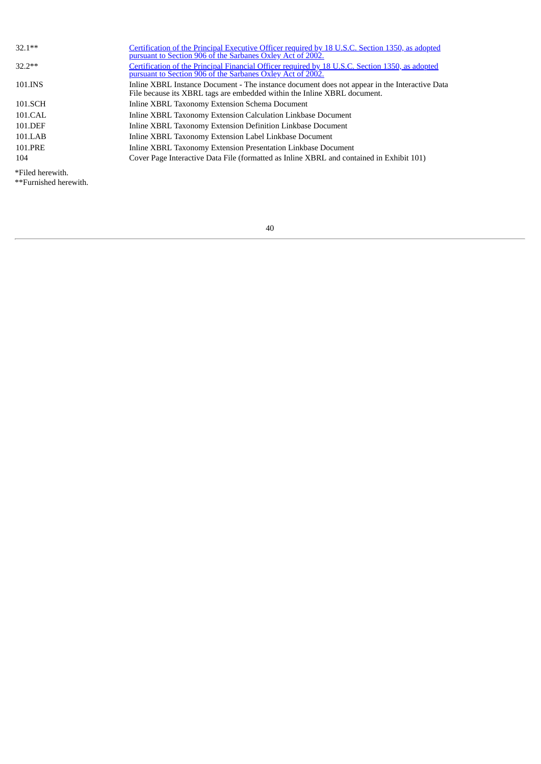| $32.1**$         | Certification of the Principal Executive Officer required by 18 U.S.C. Section 1350, as adopted<br>pursuant to Section 906 of the Sarbanes Oxley Act of 2002.             |
|------------------|---------------------------------------------------------------------------------------------------------------------------------------------------------------------------|
| $32.2**$         | Certification of the Principal Financial Officer required by 18 U.S.C. Section 1350, as adopted<br>pursuant to Section 906 of the Sarbanes Oxley Act of 2002.             |
| 101.INS          | Inline XBRL Instance Document - The instance document does not appear in the Interactive Data<br>File because its XBRL tags are embedded within the Inline XBRL document. |
| 101.SCH          | Inline XBRL Taxonomy Extension Schema Document                                                                                                                            |
| 101.CAL          | Inline XBRL Taxonomy Extension Calculation Linkbase Document                                                                                                              |
| 101.DEF          | Inline XBRL Taxonomy Extension Definition Linkbase Document                                                                                                               |
| 101.LAB          | Inline XBRL Taxonomy Extension Label Linkbase Document                                                                                                                    |
| 101.PRE          | Inline XBRL Taxonomy Extension Presentation Linkbase Document                                                                                                             |
| 104              | Cover Page Interactive Data File (formatted as Inline XBRL and contained in Exhibit 101)                                                                                  |
| *Filed herewith. |                                                                                                                                                                           |

\*\*Furnished herewith.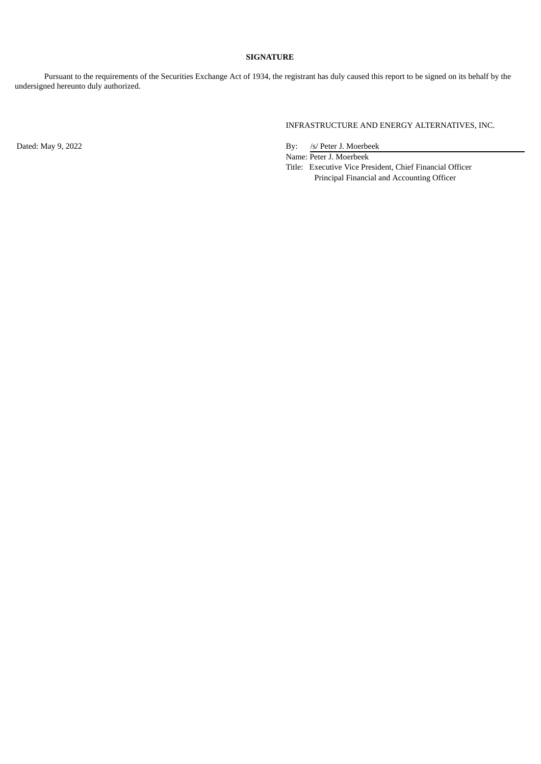# **SIGNATURE**

Pursuant to the requirements of the Securities Exchange Act of 1934, the registrant has duly caused this report to be signed on its behalf by the undersigned hereunto duly authorized.

INFRASTRUCTURE AND ENERGY ALTERNATIVES, INC.

Dated: May 9, 2022 By: /s/ Peter J. Moerbeek

Name: Peter J. Moerbeek

Title: Executive Vice President, Chief Financial Officer Principal Financial and Accounting Officer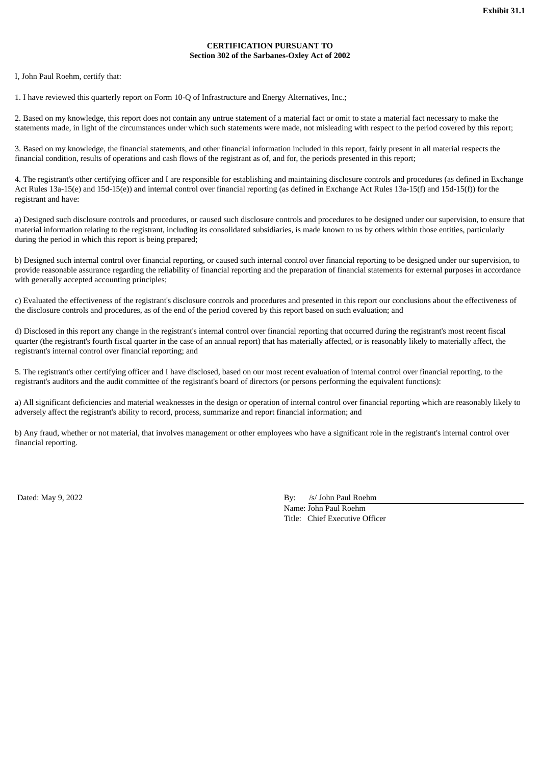# **CERTIFICATION PURSUANT TO Section 302 of the Sarbanes-Oxley Act of 2002**

<span id="page-43-0"></span>I, John Paul Roehm, certify that:

1. I have reviewed this quarterly report on Form 10-Q of Infrastructure and Energy Alternatives, Inc.;

2. Based on my knowledge, this report does not contain any untrue statement of a material fact or omit to state a material fact necessary to make the statements made, in light of the circumstances under which such statements were made, not misleading with respect to the period covered by this report;

3. Based on my knowledge, the financial statements, and other financial information included in this report, fairly present in all material respects the financial condition, results of operations and cash flows of the registrant as of, and for, the periods presented in this report;

4. The registrant's other certifying officer and I are responsible for establishing and maintaining disclosure controls and procedures (as defined in Exchange Act Rules 13a-15(e) and 15d-15(e)) and internal control over financial reporting (as defined in Exchange Act Rules 13a-15(f) and 15d-15(f)) for the registrant and have:

a) Designed such disclosure controls and procedures, or caused such disclosure controls and procedures to be designed under our supervision, to ensure that material information relating to the registrant, including its consolidated subsidiaries, is made known to us by others within those entities, particularly during the period in which this report is being prepared;

b) Designed such internal control over financial reporting, or caused such internal control over financial reporting to be designed under our supervision, to provide reasonable assurance regarding the reliability of financial reporting and the preparation of financial statements for external purposes in accordance with generally accepted accounting principles;

c) Evaluated the effectiveness of the registrant's disclosure controls and procedures and presented in this report our conclusions about the effectiveness of the disclosure controls and procedures, as of the end of the period covered by this report based on such evaluation; and

d) Disclosed in this report any change in the registrant's internal control over financial reporting that occurred during the registrant's most recent fiscal quarter (the registrant's fourth fiscal quarter in the case of an annual report) that has materially affected, or is reasonably likely to materially affect, the registrant's internal control over financial reporting; and

5. The registrant's other certifying officer and I have disclosed, based on our most recent evaluation of internal control over financial reporting, to the registrant's auditors and the audit committee of the registrant's board of directors (or persons performing the equivalent functions):

a) All significant deficiencies and material weaknesses in the design or operation of internal control over financial reporting which are reasonably likely to adversely affect the registrant's ability to record, process, summarize and report financial information; and

b) Any fraud, whether or not material, that involves management or other employees who have a significant role in the registrant's internal control over financial reporting.

Dated: May 9, 2022 By: /s/ John Paul Roehm

Name: John Paul Roehm Title: Chief Executive Officer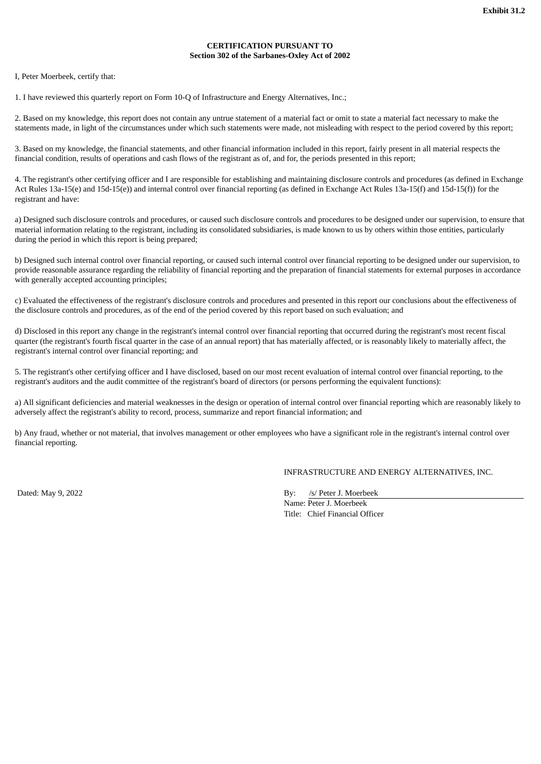# **CERTIFICATION PURSUANT TO Section 302 of the Sarbanes-Oxley Act of 2002**

<span id="page-44-0"></span>I, Peter Moerbeek, certify that:

1. I have reviewed this quarterly report on Form 10-Q of Infrastructure and Energy Alternatives, Inc.;

2. Based on my knowledge, this report does not contain any untrue statement of a material fact or omit to state a material fact necessary to make the statements made, in light of the circumstances under which such statements were made, not misleading with respect to the period covered by this report;

3. Based on my knowledge, the financial statements, and other financial information included in this report, fairly present in all material respects the financial condition, results of operations and cash flows of the registrant as of, and for, the periods presented in this report;

4. The registrant's other certifying officer and I are responsible for establishing and maintaining disclosure controls and procedures (as defined in Exchange Act Rules 13a-15(e) and 15d-15(e)) and internal control over financial reporting (as defined in Exchange Act Rules 13a-15(f) and 15d-15(f)) for the registrant and have:

a) Designed such disclosure controls and procedures, or caused such disclosure controls and procedures to be designed under our supervision, to ensure that material information relating to the registrant, including its consolidated subsidiaries, is made known to us by others within those entities, particularly during the period in which this report is being prepared;

b) Designed such internal control over financial reporting, or caused such internal control over financial reporting to be designed under our supervision, to provide reasonable assurance regarding the reliability of financial reporting and the preparation of financial statements for external purposes in accordance with generally accepted accounting principles;

c) Evaluated the effectiveness of the registrant's disclosure controls and procedures and presented in this report our conclusions about the effectiveness of the disclosure controls and procedures, as of the end of the period covered by this report based on such evaluation; and

d) Disclosed in this report any change in the registrant's internal control over financial reporting that occurred during the registrant's most recent fiscal quarter (the registrant's fourth fiscal quarter in the case of an annual report) that has materially affected, or is reasonably likely to materially affect, the registrant's internal control over financial reporting; and

5. The registrant's other certifying officer and I have disclosed, based on our most recent evaluation of internal control over financial reporting, to the registrant's auditors and the audit committee of the registrant's board of directors (or persons performing the equivalent functions):

a) All significant deficiencies and material weaknesses in the design or operation of internal control over financial reporting which are reasonably likely to adversely affect the registrant's ability to record, process, summarize and report financial information; and

b) Any fraud, whether or not material, that involves management or other employees who have a significant role in the registrant's internal control over financial reporting.

INFRASTRUCTURE AND ENERGY ALTERNATIVES, INC.

Dated: May 9, 2022 By: /s/ Peter J. Moerbeek Name: Peter J. Moerbeek Title: Chief Financial Officer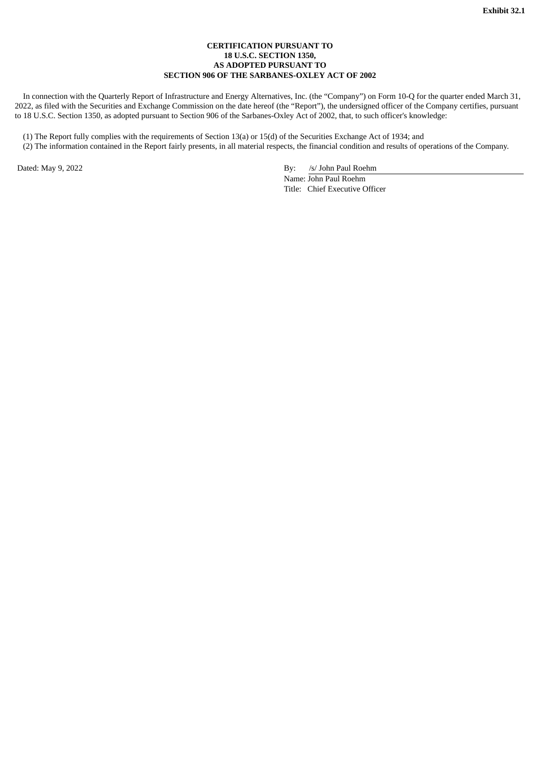# **CERTIFICATION PURSUANT TO 18 U.S.C. SECTION 1350, AS ADOPTED PURSUANT TO SECTION 906 OF THE SARBANES-OXLEY ACT OF 2002**

<span id="page-45-0"></span>In connection with the Quarterly Report of Infrastructure and Energy Alternatives, Inc. (the "Company") on Form 10-Q for the quarter ended March 31, 2022, as filed with the Securities and Exchange Commission on the date hereof (the "Report"), the undersigned officer of the Company certifies, pursuant to 18 U.S.C. Section 1350, as adopted pursuant to Section 906 of the Sarbanes-Oxley Act of 2002, that, to such officer's knowledge:

(1) The Report fully complies with the requirements of Section 13(a) or 15(d) of the Securities Exchange Act of 1934; and

(2) The information contained in the Report fairly presents, in all material respects, the financial condition and results of operations of the Company.

Dated: May 9, 2022 By: /s/ John Paul Roehm

Name: John Paul Roehm Title: Chief Executive Officer